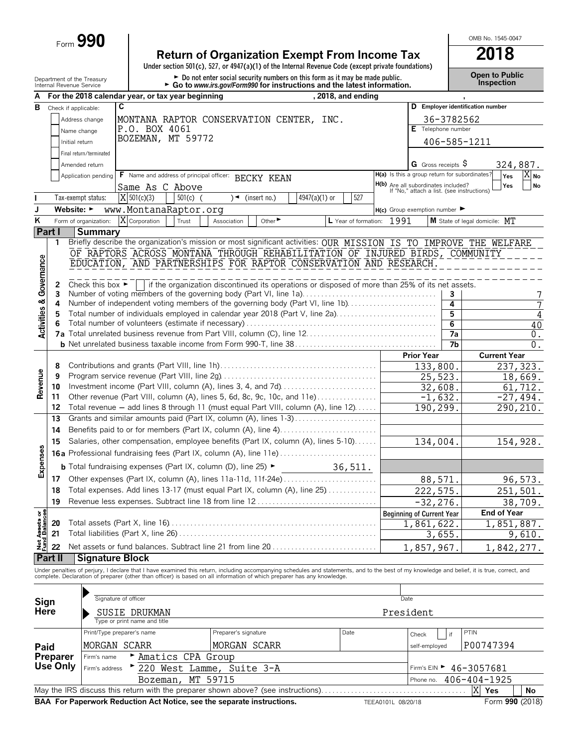Form **990**

# **Return of Organization Exempt From Income Tax 2018**

**Under section 501(c), 527, or 4947(a)(1) of the Internal Revenue Code (except private foundations)**

Department of the Treasury **Depen to Public**<br>Internal Revenue Service **Configuration Configuration Configuration Configuration Configuration.** Configuration<br>Internal Revenue Service **Configuration Configuration Configurat** 

OMB No. 1545-0047

| А                                |                      |                                      | For the 2018 calendar year, or tax year beginning                      |                                                                                                                                                                                                                                   | , 2018, and ending   |                                                                                          |                              |                |                                             |                   |
|----------------------------------|----------------------|--------------------------------------|------------------------------------------------------------------------|-----------------------------------------------------------------------------------------------------------------------------------------------------------------------------------------------------------------------------------|----------------------|------------------------------------------------------------------------------------------|------------------------------|----------------|---------------------------------------------|-------------------|
| в                                | Check if applicable: |                                      | C                                                                      |                                                                                                                                                                                                                                   |                      |                                                                                          |                              |                | D Employer identification number            |                   |
|                                  |                      | Address change                       |                                                                        | MONTANA RAPTOR CONSERVATION CENTER, INC.                                                                                                                                                                                          |                      |                                                                                          |                              | 36-3782562     |                                             |                   |
|                                  |                      | Name change                          | P.O. BOX 4061                                                          |                                                                                                                                                                                                                                   |                      |                                                                                          | E Telephone number           |                |                                             |                   |
|                                  | Initial return       |                                      | BOZEMAN, MT 59772                                                      |                                                                                                                                                                                                                                   |                      |                                                                                          |                              |                | 406-585-1211                                |                   |
|                                  |                      |                                      |                                                                        |                                                                                                                                                                                                                                   |                      |                                                                                          |                              |                |                                             |                   |
|                                  |                      | Final return/terminated              |                                                                        |                                                                                                                                                                                                                                   |                      |                                                                                          |                              |                |                                             |                   |
|                                  |                      | Amended return                       |                                                                        |                                                                                                                                                                                                                                   |                      |                                                                                          | G Gross receipts $\varsigma$ |                |                                             | 324,887.          |
|                                  |                      | Application pending                  | F Name and address of principal officer: BECKY KEAN                    |                                                                                                                                                                                                                                   |                      | H(a) Is this a group return for subordinates?                                            |                              |                | Yes                                         | $X_{\mathsf{No}}$ |
|                                  |                      |                                      | Same As C Above                                                        |                                                                                                                                                                                                                                   |                      | <b>H(b)</b> Are all subordinates included?<br>If "No," attach a list. (see instructions) |                              |                | Yes                                         | No                |
|                                  |                      | Tax-exempt status:                   | X 501(c)(3)<br>$501(c)$ (                                              | $\rightarrow$<br>(insert no.)                                                                                                                                                                                                     | 4947(a)(1) or<br>527 |                                                                                          |                              |                |                                             |                   |
| J                                | Website: ►           |                                      | www.MontanaRaptor.org                                                  |                                                                                                                                                                                                                                   |                      | $H(c)$ Group exemption number                                                            |                              |                |                                             |                   |
| Κ                                |                      | Form of organization:                | X Corporation<br>Trust                                                 | Other <sup>&gt;</sup><br>Association                                                                                                                                                                                              | L Year of formation: | 1991                                                                                     |                              |                | M State of legal domicile: MT               |                   |
|                                  | Part I               | <b>Summary</b>                       |                                                                        |                                                                                                                                                                                                                                   |                      |                                                                                          |                              |                |                                             |                   |
|                                  | 1                    |                                      |                                                                        | Briefly describe the organization's mission or most significant activities: OUR MISSION IS TO IMPROVE THE WELFARE                                                                                                                 |                      |                                                                                          |                              |                |                                             |                   |
|                                  |                      |                                      |                                                                        | OF RAPTORS ACROSS MONTANA THROUGH REHABILITATION OF INJURED BIRDS, COMMUNITY                                                                                                                                                      |                      |                                                                                          |                              |                |                                             |                   |
|                                  |                      |                                      |                                                                        | EDUCATION, AND PARTNERSHIPS FOR RAPTOR CONSERVATION AND RESEARCH.                                                                                                                                                                 |                      |                                                                                          |                              |                |                                             |                   |
| Governance                       |                      |                                      |                                                                        |                                                                                                                                                                                                                                   |                      |                                                                                          |                              |                |                                             |                   |
|                                  | 2                    | Check this box $\blacktriangleright$ |                                                                        | if the organization discontinued its operations or disposed of more than 25% of its net assets.                                                                                                                                   |                      |                                                                                          |                              |                |                                             |                   |
|                                  | 3                    |                                      |                                                                        | Number of voting members of the governing body (Part VI, line 1a)                                                                                                                                                                 |                      |                                                                                          |                              | 3              |                                             | 7                 |
|                                  | 4                    |                                      |                                                                        | Number of independent voting members of the governing body (Part VI, line 1b)                                                                                                                                                     |                      |                                                                                          |                              | 4              |                                             | 7                 |
|                                  | 5                    |                                      |                                                                        | Total number of individuals employed in calendar year 2018 (Part V, line 2a)                                                                                                                                                      |                      |                                                                                          |                              | 5              |                                             | 4                 |
| <b>Activities &amp;</b>          |                      |                                      |                                                                        |                                                                                                                                                                                                                                   |                      |                                                                                          |                              | $\overline{6}$ |                                             | 40                |
|                                  |                      |                                      |                                                                        |                                                                                                                                                                                                                                   |                      |                                                                                          |                              | 7a             |                                             | 0.                |
|                                  |                      |                                      |                                                                        |                                                                                                                                                                                                                                   |                      |                                                                                          |                              | 7b             |                                             | 0.                |
|                                  |                      |                                      |                                                                        |                                                                                                                                                                                                                                   |                      |                                                                                          | <b>Prior Year</b>            |                | <b>Current Year</b>                         |                   |
|                                  | 8                    |                                      |                                                                        |                                                                                                                                                                                                                                   |                      |                                                                                          | 133,800.                     |                |                                             | 237, 323.         |
| Revenue                          | 9                    |                                      |                                                                        |                                                                                                                                                                                                                                   |                      |                                                                                          | 25,523.                      |                |                                             | 18,669.           |
|                                  | 10                   |                                      |                                                                        | Investment income (Part VIII, column (A), lines 3, 4, and 7d)                                                                                                                                                                     |                      |                                                                                          | $\overline{32}$ , 608.       |                |                                             | 61,712.           |
|                                  | 11                   |                                      |                                                                        | Other revenue (Part VIII, column (A), lines 5, 6d, 8c, 9c, 10c, and 11e)                                                                                                                                                          |                      |                                                                                          | $-1,632.$                    |                |                                             | $-27,494.$        |
|                                  | 12                   |                                      |                                                                        | Total revenue - add lines 8 through 11 (must equal Part VIII, column (A), line 12)                                                                                                                                                |                      |                                                                                          | 190,299.                     |                |                                             | 290,210.          |
|                                  | 13                   |                                      |                                                                        | Grants and similar amounts paid (Part IX, column (A), lines 1-3)                                                                                                                                                                  |                      |                                                                                          |                              |                |                                             |                   |
|                                  | 14                   |                                      |                                                                        | Benefits paid to or for members (Part IX, column (A), line 4)                                                                                                                                                                     |                      |                                                                                          |                              |                |                                             |                   |
|                                  | 15                   |                                      |                                                                        | Salaries, other compensation, employee benefits (Part IX, column (A), lines 5-10)                                                                                                                                                 |                      |                                                                                          | 134,004.                     |                |                                             | 154,928.          |
|                                  |                      |                                      |                                                                        | <b>16a</b> Professional fundraising fees (Part IX, column (A), line 11e)                                                                                                                                                          |                      |                                                                                          |                              |                |                                             |                   |
| Expenses                         |                      |                                      |                                                                        |                                                                                                                                                                                                                                   |                      |                                                                                          |                              |                |                                             |                   |
|                                  |                      |                                      | <b>b</b> Total fundraising expenses (Part IX, column (D), line 25) ►   |                                                                                                                                                                                                                                   | 36,511.              |                                                                                          |                              |                |                                             |                   |
|                                  | 17                   |                                      |                                                                        | Other expenses (Part IX, column (A), lines 11a-11d, 11f-24e)                                                                                                                                                                      |                      |                                                                                          | 88,571.                      |                |                                             | 96,573.           |
|                                  | 18                   |                                      |                                                                        | Total expenses. Add lines 13-17 (must equal Part IX, column (A), line 25)                                                                                                                                                         |                      |                                                                                          | 222, 575.                    |                |                                             | 251,501.          |
|                                  | 19                   |                                      |                                                                        |                                                                                                                                                                                                                                   |                      |                                                                                          | $-32, 276.$                  |                |                                             | 38,709.           |
| $5\frac{6}{2}$                   |                      |                                      |                                                                        |                                                                                                                                                                                                                                   |                      |                                                                                          | Beginning of Current Year    |                | <b>End of Year</b>                          |                   |
| <b>Net Assets</b><br>Fund Balanc | 20                   |                                      |                                                                        |                                                                                                                                                                                                                                   |                      |                                                                                          | 1,861,622.                   |                |                                             | 1,851,887.        |
|                                  | 21                   |                                      | Total liabilities (Part X, line 26).                                   |                                                                                                                                                                                                                                   |                      |                                                                                          |                              | 3,655.         |                                             | 9,610.            |
|                                  | 22                   |                                      |                                                                        | Net assets or fund balances. Subtract line 21 from line 20                                                                                                                                                                        |                      |                                                                                          | 1,857,967.                   |                |                                             | 1,842,277.        |
|                                  | Part II              | <b>Signature Block</b>               |                                                                        |                                                                                                                                                                                                                                   |                      |                                                                                          |                              |                |                                             |                   |
|                                  |                      |                                      |                                                                        |                                                                                                                                                                                                                                   |                      |                                                                                          |                              |                |                                             |                   |
|                                  |                      |                                      |                                                                        | Under penalties of perjury, I declare that I have examined this return, including accompanying schedules and statements, and to the best of my knowledge and belief, it is true, correct, and<br>complete. Declaration of prepare |                      |                                                                                          |                              |                |                                             |                   |
|                                  |                      |                                      |                                                                        |                                                                                                                                                                                                                                   |                      |                                                                                          |                              |                |                                             |                   |
| Sign                             |                      |                                      | Signature of officer                                                   |                                                                                                                                                                                                                                   |                      | Date                                                                                     |                              |                |                                             |                   |
| <b>Here</b>                      |                      |                                      | SUSIE DRUKMAN                                                          |                                                                                                                                                                                                                                   |                      | President                                                                                |                              |                |                                             |                   |
|                                  |                      |                                      | Type or print name and title                                           |                                                                                                                                                                                                                                   |                      |                                                                                          |                              |                |                                             |                   |
|                                  |                      |                                      | Print/Type preparer's name                                             | Preparer's signature                                                                                                                                                                                                              | Date                 |                                                                                          | Check                        | if             | PTIN                                        |                   |
|                                  |                      |                                      |                                                                        |                                                                                                                                                                                                                                   |                      |                                                                                          |                              |                |                                             |                   |
| Paid                             |                      |                                      | MORGAN SCARR                                                           | MORGAN SCARR                                                                                                                                                                                                                      |                      |                                                                                          | self-employed                |                | P00747394                                   |                   |
|                                  | <b>Preparer</b>      | Firm's name                          | Amatics CPA Group                                                      |                                                                                                                                                                                                                                   |                      |                                                                                          |                              |                |                                             |                   |
|                                  | Use Only             | Firm's address                       | 220 West Lamme, Suite 3-A                                              |                                                                                                                                                                                                                                   |                      |                                                                                          |                              |                | Firm's EIN $\blacktriangleright$ 46-3057681 |                   |
|                                  |                      |                                      | Bozeman,                                                               | MT 59715                                                                                                                                                                                                                          |                      |                                                                                          | Phone no.                    |                | 406-404-1925                                |                   |
|                                  |                      |                                      |                                                                        | May the IRS discuss this return with the preparer shown above? (see instructions)                                                                                                                                                 |                      |                                                                                          |                              |                | X<br>Yes                                    | <b>No</b>         |
|                                  |                      |                                      | BAA For Paperwork Reduction Act Notice, see the separate instructions. |                                                                                                                                                                                                                                   |                      | TEEA0101L 08/20/18                                                                       |                              |                |                                             | Form 990 (2018)   |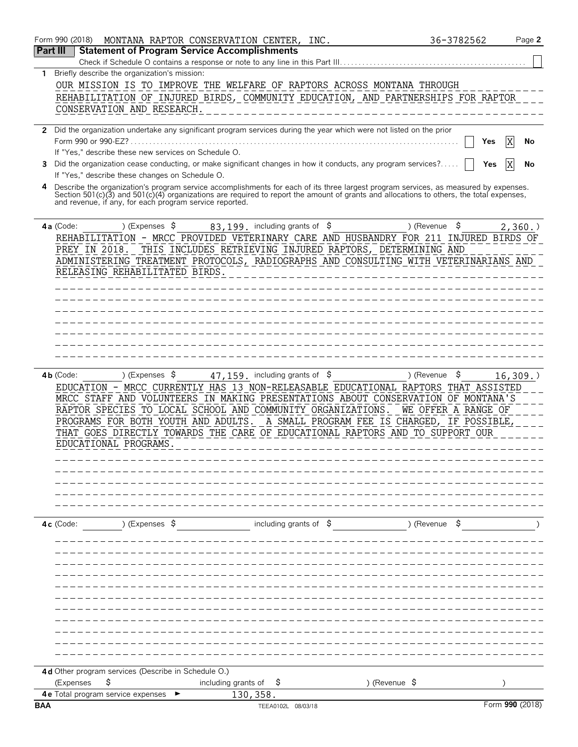|            | Form 990 (2018)<br>MONTANA RAPTOR CONSERVATION CENTER, INC.                                                                                                                                         |                                      | 36-3782562               | Page 2          |
|------------|-----------------------------------------------------------------------------------------------------------------------------------------------------------------------------------------------------|--------------------------------------|--------------------------|-----------------|
| Part III   | <b>Statement of Program Service Accomplishments</b>                                                                                                                                                 |                                      |                          |                 |
|            | Check if Schedule O contains a response or note to any line in this Part III.                                                                                                                       |                                      |                          |                 |
| 1.         | Briefly describe the organization's mission:<br>OUR MISSION IS TO IMPROVE THE WELFARE OF RAPTORS ACROSS MONTANA THROUGH                                                                             |                                      |                          |                 |
|            | REHABILITATION OF INJURED BIRDS, COMMUNITY EDUCATION, AND PARTNERSHIPS FOR RAPTOR                                                                                                                   |                                      |                          |                 |
|            | CONSERVATION AND RESEARCH.                                                                                                                                                                          |                                      |                          |                 |
|            |                                                                                                                                                                                                     |                                      |                          |                 |
|            | 2 Did the organization undertake any significant program services during the year which were not listed on the prior                                                                                |                                      |                          |                 |
|            | Form 990 or 990-EZ?<br>If "Yes," describe these new services on Schedule O.                                                                                                                         |                                      |                          | Yes<br>No       |
| 3          | Did the organization cease conducting, or make significant changes in how it conducts, any program services?                                                                                        |                                      |                          | Yes<br>No       |
|            | If "Yes," describe these changes on Schedule O.                                                                                                                                                     |                                      |                          |                 |
|            | Describe the organization's program service accomplishments for each of its three largest program services, as measured by expenses.                                                                |                                      |                          |                 |
|            | Section 501(c)(3) and 501(c)(4) organizations are required to report the amount of grants and allocations to others, the total expenses,<br>and revenue, if any, for each program service reported. |                                      |                          |                 |
|            |                                                                                                                                                                                                     |                                      |                          |                 |
|            | 4a (Code:<br>) (Expenses \$                                                                                                                                                                         | $83, 199$ . including grants of $\$$ | \$<br>) (Revenue         | 2,360.          |
|            | REHABILITATION - MRCC PROVIDED VETERINARY CARE AND HUSBANDRY FOR 211 INJURED BIRDS OF                                                                                                               |                                      |                          |                 |
|            | THIS INCLUDES RETRIEVING INJURED RAPTORS, DETERMINING AND<br>PREY IN 2018.                                                                                                                          |                                      |                          |                 |
|            | ADMINISTERING TREATMENT PROTOCOLS, RADIOGRAPHS AND CONSULTING WITH VETERINARIANS AND                                                                                                                |                                      |                          |                 |
|            | RELEASING REHABILITATED BIRDS.                                                                                                                                                                      |                                      |                          |                 |
|            |                                                                                                                                                                                                     |                                      |                          |                 |
|            |                                                                                                                                                                                                     |                                      |                          |                 |
|            |                                                                                                                                                                                                     |                                      |                          |                 |
|            |                                                                                                                                                                                                     |                                      |                          |                 |
|            |                                                                                                                                                                                                     |                                      |                          |                 |
|            |                                                                                                                                                                                                     |                                      |                          |                 |
|            | ) (Expenses $\sqrt{5}$<br>$4b$ (Code:                                                                                                                                                               | $47, 159$ . including grants of $$$  | \$<br>) (Revenue         | 16, 309.        |
|            | EDUCATION - MRCC CURRENTLY HAS 13 NON-RELEASABLE EDUCATIONAL RAPTORS THAT ASSISTED                                                                                                                  |                                      |                          |                 |
|            | MRCC STAFF AND VOLUNTEERS IN MAKING PRESENTATIONS ABOUT CONSERVATION OF MONTANA'S                                                                                                                   |                                      |                          |                 |
|            | RAPTOR SPECIES TO LOCAL SCHOOL AND COMMUNITY ORGANIZATIONS.                                                                                                                                         |                                      | WE OFFER A RANGE OF      |                 |
|            | PROGRAMS FOR BOTH YOUTH AND ADULTS. A SMALL PROGRAM FEE IS CHARGED, IF POSSIBLE,                                                                                                                    |                                      |                          |                 |
|            | THAT GOES DIRECTLY TOWARDS THE CARE OF EDUCATIONAL RAPTORS AND TO SUPPORT OUR                                                                                                                       |                                      |                          |                 |
|            | EDUCATIONAL PROGRAMS                                                                                                                                                                                |                                      |                          |                 |
|            |                                                                                                                                                                                                     |                                      |                          |                 |
|            |                                                                                                                                                                                                     |                                      |                          |                 |
|            |                                                                                                                                                                                                     |                                      |                          |                 |
|            |                                                                                                                                                                                                     |                                      |                          |                 |
|            |                                                                                                                                                                                                     |                                      |                          |                 |
|            | ) (Expenses \$<br>$4c$ (Code:                                                                                                                                                                       | including grants of $\beta$          | ) (Revenue \$            |                 |
|            |                                                                                                                                                                                                     |                                      |                          |                 |
|            |                                                                                                                                                                                                     |                                      |                          |                 |
|            |                                                                                                                                                                                                     |                                      |                          |                 |
|            |                                                                                                                                                                                                     |                                      |                          |                 |
|            |                                                                                                                                                                                                     |                                      |                          |                 |
|            |                                                                                                                                                                                                     |                                      |                          |                 |
|            |                                                                                                                                                                                                     |                                      |                          |                 |
|            |                                                                                                                                                                                                     |                                      |                          |                 |
|            |                                                                                                                                                                                                     |                                      |                          |                 |
|            |                                                                                                                                                                                                     |                                      |                          |                 |
|            | 4d Other program services (Describe in Schedule O.)                                                                                                                                                 |                                      |                          |                 |
|            | \$<br>including grants of<br>(Expenses                                                                                                                                                              | Ş                                    | ) (Revenue $\frac{1}{2}$ |                 |
| <b>BAA</b> | 4e Total program service expenses                                                                                                                                                                   | 130, 358.<br>TEEA0102L 08/03/18      |                          | Form 990 (2018) |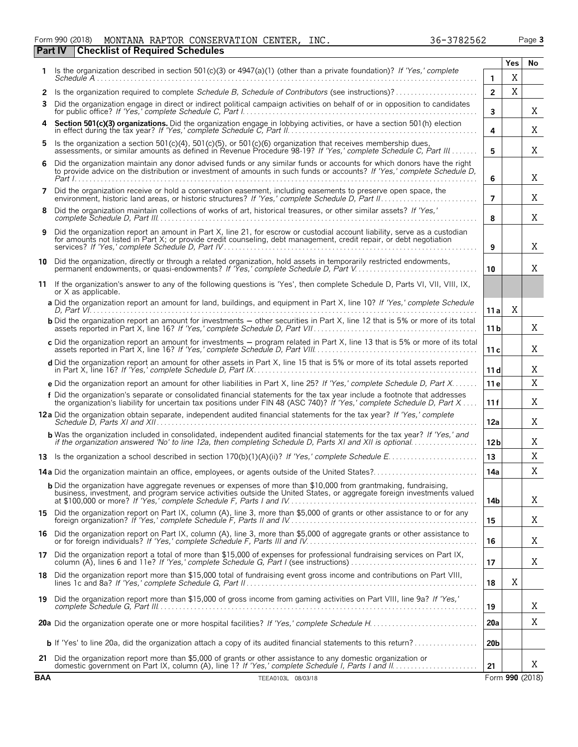| Form 990 (2018) |                                                | MONTANA RAPTOR CONSERVATION CENTER, INC. |  | 36-3782562 | Page 3 |
|-----------------|------------------------------------------------|------------------------------------------|--|------------|--------|
|                 | <b>Part IV Checklist of Required Schedules</b> |                                          |  |            |        |

|              |                                                                                                                                                                                                                                                                               |                 | Yes | No |
|--------------|-------------------------------------------------------------------------------------------------------------------------------------------------------------------------------------------------------------------------------------------------------------------------------|-----------------|-----|----|
| 1.           | Is the organization described in section 501(c)(3) or $4947(a)(1)$ (other than a private foundation)? If 'Yes,' complete<br>$S$ chedule $A$                                                                                                                                   | 1               | X   |    |
| $\mathbf{2}$ | Is the organization required to complete Schedule B, Schedule of Contributors (see instructions)?                                                                                                                                                                             | $\overline{2}$  | Χ   |    |
| 3            | Did the organization engage in direct or indirect political campaign activities on behalf of or in opposition to candidates                                                                                                                                                   | 3               |     | X  |
| 4            | Section 501(c)(3) organizations. Did the organization engage in lobbying activities, or have a section 501(h) election                                                                                                                                                        | 4               |     | X  |
| 5.           | Is the organization a section 501 $(c)(4)$ , 501 $(c)(5)$ , or 501 $(c)(6)$ organization that receives membership dues,<br>assessments, or similar amounts as defined in Revenue Procedure 98-19? If 'Yes,' complete Schedule C. Part III                                     | 5               |     | X  |
| 6            | Did the organization maintain any donor advised funds or any similar funds or accounts for which donors have the right<br>to provide advice on the distribution or investment of amounts in such funds or accounts? If 'Yes,' complete Schedule D,<br>Part $l_1, \ldots, l_k$ | 6               |     | X  |
| 7            | Did the organization receive or hold a conservation easement, including easements to preserve open space, the                                                                                                                                                                 | 7               |     | X  |
| 8            | Did the organization maintain collections of works of art, historical treasures, or other similar assets? If 'Yes,'                                                                                                                                                           | 8               |     | X  |
| 9            | Did the organization report an amount in Part X, line 21, for escrow or custodial account liability, serve as a custodian<br>for amounts not listed in Part X; or provide credit counseling, debt management, credit repair, or debt negotiation                              | 9               |     | X  |
|              | 10 Did the organization, directly or through a related organization, hold assets in temporarily restricted endowments,<br>permanent endowments, or quasi-endowments? If 'Yes,' complete Schedule D, Part V                                                                    | 10              |     | X  |
|              | 11 If the organization's answer to any of the following questions is 'Yes', then complete Schedule D, Parts VI, VII, VIII, IX,<br>or X as applicable.                                                                                                                         |                 |     |    |
|              | a Did the organization report an amount for land, buildings, and equipment in Part X, line 10? If 'Yes,' complete Schedule                                                                                                                                                    | 11 a            | X   |    |
|              | <b>b</b> Did the organization report an amount for investments – other securities in Part X, line 12 that is 5% or more of its total                                                                                                                                          | 11 b            |     | X  |
|              | c Did the organization report an amount for investments – program related in Part X, line 13 that is 5% or more of its total                                                                                                                                                  | 11c             |     | X  |
|              | d Did the organization report an amount for other assets in Part X, line 15 that is 5% or more of its total assets reported                                                                                                                                                   | 11d             |     | X  |
|              | e Did the organization report an amount for other liabilities in Part X, line 25? If 'Yes,' complete Schedule D, Part X                                                                                                                                                       | 11e             |     | X  |
|              | f Did the organization's separate or consolidated financial statements for the tax year include a footnote that addresses<br>the organization's liability for uncertain tax positions under FIN 48 (ASC 740)? If 'Yes,' complete Schedule D, Part X                           | 11f             |     | X  |
|              | 12a Did the organization obtain separate, independent audited financial statements for the tax year? If 'Yes,' complete                                                                                                                                                       | 12a             |     | X  |
|              | <b>b</b> Was the organization included in consolidated, independent audited financial statements for the tax year? If 'Yes,' and if the organization answered 'No' to line 12a, then completing Schedule D, Parts XI and XII is opt                                           | 12 <sub>b</sub> |     | X  |
|              |                                                                                                                                                                                                                                                                               | 13              |     | Χ  |
|              | <b>14a</b> Did the organization maintain an office, employees, or agents outside of the United States?                                                                                                                                                                        | 14a             |     | X  |
|              | <b>b</b> Did the organization have aggregate revenues or expenses of more than \$10,000 from grantmaking, fundraising,<br>business, investment, and program service activities outside the United States, or aggregate foreign investments valued                             | 14b             |     | X  |
|              | 15 Did the organization report on Part IX, column (A), line 3, more than \$5,000 of grants or other assistance to or for any                                                                                                                                                  | 15              |     | X  |
| 16           | Did the organization report on Part IX, column (A), line 3, more than \$5,000 of aggregate grants or other assistance to                                                                                                                                                      | 16              |     | X  |
| 17           | Did the organization report a total of more than \$15,000 of expenses for professional fundraising services on Part IX,                                                                                                                                                       | 17              |     | X  |
| 18 .         | Did the organization report more than \$15,000 total of fundraising event gross income and contributions on Part VIII,                                                                                                                                                        | 18              | X   |    |
|              | 19 Did the organization report more than \$15,000 of gross income from gaming activities on Part VIII, line 9a? If 'Yes,'                                                                                                                                                     | 19              |     | X  |
|              |                                                                                                                                                                                                                                                                               | 20a             |     | X  |
|              |                                                                                                                                                                                                                                                                               | 20 <sub>b</sub> |     |    |
| 21.          | Did the organization report more than \$5,000 of grants or other assistance to any domestic organization or                                                                                                                                                                   | 21              |     | X  |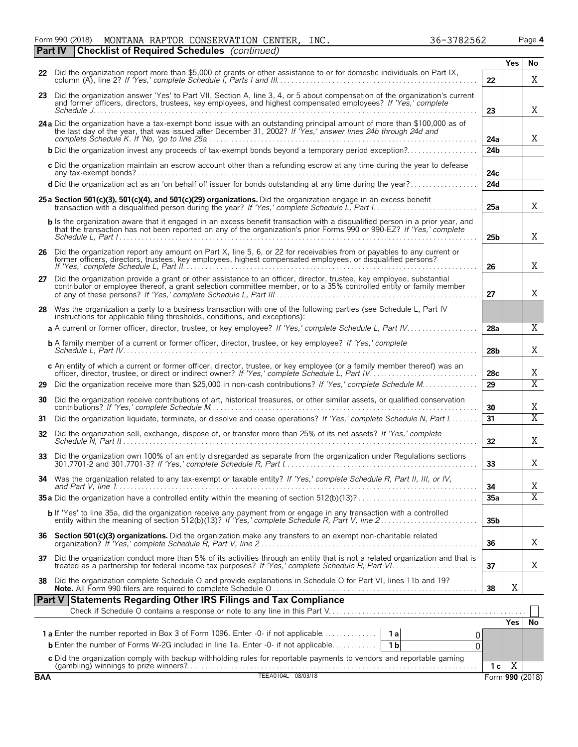Form 990 (2018) Page **4** MONTANA RAPTOR CONSERVATION CENTER, INC. 36-3782562 **Part IV Checklist of Required Schedules** *(continued)*

| APTOR CONSERVATION CENTER, | INC. |  |
|----------------------------|------|--|
|                            |      |  |

|    |                                                                                                                                                                                                                                                       |                 | Yes        | No                    |
|----|-------------------------------------------------------------------------------------------------------------------------------------------------------------------------------------------------------------------------------------------------------|-----------------|------------|-----------------------|
|    | 22 Did the organization report more than \$5,000 of grants or other assistance to or for domestic individuals on Part IX,                                                                                                                             | 22              |            | X                     |
| 23 | Did the organization answer 'Yes' to Part VII, Section A, line 3, 4, or 5 about compensation of the organization's current<br>and former officers, directors, trustees, key employees, and highest compensated employees? If 'Yes,' complete          | 23              |            | X                     |
|    | 24 a Did the organization have a tax-exempt bond issue with an outstanding principal amount of more than \$100,000 as of<br>the last day of the year, that was issued after December 31, 2002? If Yes,' answer lines 24b through 24d and              | 24a             |            | X                     |
|    | <b>b</b> Did the organization invest any proceeds of tax-exempt bonds beyond a temporary period exception?                                                                                                                                            | 24 <sub>b</sub> |            |                       |
|    | c Did the organization maintain an escrow account other than a refunding escrow at any time during the year to defease                                                                                                                                | 24c             |            |                       |
|    | d Did the organization act as an 'on behalf of' issuer for bonds outstanding at any time during the year?                                                                                                                                             | 24d             |            |                       |
|    | 25 a Section 501(c)(3), 501(c)(4), and 501(c)(29) organizations. Did the organization engage in an excess benefit                                                                                                                                     | 25a             |            | X                     |
|    | b Is the organization aware that it engaged in an excess benefit transaction with a disqualified person in a prior year, and<br>that the transaction has not been reported on any of the organization's prior Forms 990 or 990-EZ? If 'Yes,' complete | 25 <sub>b</sub> |            | X                     |
|    | 26 Did the organization report any amount on Part X, line 5, 6, or 22 for receivables from or payables to any current or<br>former officers, directors, trustees, key employees, highest compensated employees, or disqualified persons?              | 26              |            | X                     |
| 27 | Did the organization provide a grant or other assistance to an officer, director, trustee, key employee, substantial<br>contributor or employee thereof, a grant selection committee member, or to a 35% controlled entity or family member           | 27              |            | X                     |
| 28 | Was the organization a party to a business transaction with one of the following parties (see Schedule L, Part IV<br>instructions for applicable filing thresholds, conditions, and exceptions):                                                      |                 |            |                       |
|    | a A current or former officer, director, trustee, or key employee? If 'Yes,' complete Schedule L, Part IV                                                                                                                                             | 28a             |            | X                     |
|    | <b>b</b> A family member of a current or former officer, director, trustee, or key employee? If 'Yes,' complete                                                                                                                                       | 28b             |            | Χ                     |
|    | c An entity of which a current or former officer, director, trustee, or key employee (or a family member thereof) was an<br>officer, director, trustee, or direct or indirect owner? If 'Yes,' complete Schedule L, Part IV.                          | 28c             |            | Χ                     |
| 29 | Did the organization receive more than \$25,000 in non-cash contributions? If 'Yes,' complete Schedule M.                                                                                                                                             | 29              |            | $\overline{\text{X}}$ |
| 30 | Did the organization receive contributions of art, historical treasures, or other similar assets, or qualified conservation                                                                                                                           | 30              |            | Χ                     |
| 31 | Did the organization liquidate, terminate, or dissolve and cease operations? If 'Yes,' complete Schedule N, Part I                                                                                                                                    | 31              |            | $\overline{\text{X}}$ |
|    | 32 Did the organization sell, exchange, dispose of, or transfer more than 25% of its net assets? If 'Yes,' complete                                                                                                                                   | 32              |            | Χ                     |
| 33 | Did the organization own 100% of an entity disregarded as separate from the organization under Regulations sections                                                                                                                                   | 33              |            | Χ                     |
|    | Was the organization related to any tax-exempt or taxable entity? If 'Yes,' complete Schedule R, Part II, III, or IV,                                                                                                                                 | 34              |            | Χ                     |
|    |                                                                                                                                                                                                                                                       | 35a             |            | $\overline{\text{X}}$ |
|    | b If 'Yes' to line 35a, did the organization receive any payment from or engage in any transaction with a controlled                                                                                                                                  | 35 <sub>b</sub> |            |                       |
|    | 36 Section 501(c)(3) organizations. Did the organization make any transfers to an exempt non-charitable related                                                                                                                                       | 36              |            | Χ                     |
| 37 | Did the organization conduct more than 5% of its activities through an entity that is not a related organization and that is<br>treated as a partnership for federal income tax purposes? If 'Yes,' complete Schedule R, Part VI.                     | 37              |            | Χ                     |
| 38 | Did the organization complete Schedule O and provide explanations in Schedule O for Part VI, lines 11b and 19?                                                                                                                                        | 38              | X          |                       |
|    | <b>Statements Regarding Other IRS Filings and Tax Compliance</b><br>Part V                                                                                                                                                                            |                 |            |                       |
|    |                                                                                                                                                                                                                                                       |                 | <b>Yes</b> | No                    |
|    | <b>1a</b> Enter the number reported in Box 3 of Form 1096. Enter -0- if not applicable<br>1al<br>0                                                                                                                                                    |                 |            |                       |
|    | <b>b</b> Enter the number of Forms W-2G included in line 1a. Enter -0- if not applicable<br>1 <sub>b</sub><br>0                                                                                                                                       |                 |            |                       |
|    |                                                                                                                                                                                                                                                       |                 |            |                       |

**c** Did the organization comply with backup withholding rules for reportable payments to vendors and reportable gaming (gambling) winnings to prize winners?. . . . . . . . . . . . . . . . . . . . . . . . . . . . . . . . . . . . . . . . . . . . . . . . . . . . . . . . . . . . . . . . . . . . . . . . . . . . . . **1 c**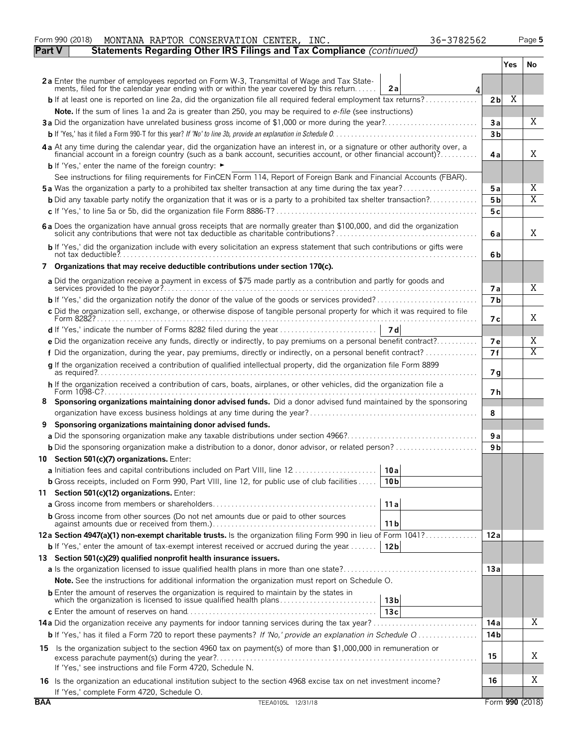|               | MONTANA RAPTOR CONSERVATION CENTER, INC.<br>36-3782562<br>Form 990 (2018)                                                                                                                                                      |                      |      | Page 5                  |
|---------------|--------------------------------------------------------------------------------------------------------------------------------------------------------------------------------------------------------------------------------|----------------------|------|-------------------------|
| <b>Part V</b> | Statements Regarding Other IRS Filings and Tax Compliance (continued)                                                                                                                                                          |                      | Yes. | No                      |
|               |                                                                                                                                                                                                                                |                      |      |                         |
|               | 2a Enter the number of employees reported on Form W-3, Transmittal of Wage and Tax State-<br>ments, filed for the calendar year ending with or within the year covered by this return<br>2a<br>4                               |                      |      |                         |
|               | <b>b</b> If at least one is reported on line 2a, did the organization file all required federal employment tax returns?                                                                                                        | 2 <sub>b</sub>       | Χ    |                         |
|               | Note. If the sum of lines 1a and 2a is greater than 250, you may be required to e-file (see instructions)                                                                                                                      |                      |      |                         |
|               | 3a Did the organization have unrelated business gross income of \$1,000 or more during the year?                                                                                                                               | За                   |      | X                       |
|               |                                                                                                                                                                                                                                | 3 <sub>b</sub>       |      |                         |
|               | 4a At any time during the calendar year, did the organization have an interest in, or a signature or other authority over, a financial account in a foreign country (such as a bank account, securities account, or other fina | 4a                   |      | X                       |
|               | <b>b</b> If 'Yes,' enter the name of the foreign country: ►                                                                                                                                                                    |                      |      |                         |
|               | See instructions for filing requirements for FinCEN Form 114, Report of Foreign Bank and Financial Accounts (FBAR).                                                                                                            |                      |      | Χ                       |
|               | 5a Was the organization a party to a prohibited tax shelter transaction at any time during the tax year?                                                                                                                       | 5 a                  |      | $\overline{\mathrm{X}}$ |
|               | <b>b</b> Did any taxable party notify the organization that it was or is a party to a prohibited tax shelter transaction?                                                                                                      | 5 b<br>5 c           |      |                         |
|               |                                                                                                                                                                                                                                |                      |      |                         |
|               | 6a Does the organization have annual gross receipts that are normally greater than \$100,000, and did the organization                                                                                                         | 6a                   |      | X                       |
|               | b If 'Yes,' did the organization include with every solicitation an express statement that such contributions or gifts were                                                                                                    | 6b                   |      |                         |
|               | 7 Organizations that may receive deductible contributions under section 170(c).                                                                                                                                                |                      |      |                         |
|               | a Did the organization receive a payment in excess of \$75 made partly as a contribution and partly for goods and<br>services provided to the payor?                                                                           |                      |      | Χ                       |
|               |                                                                                                                                                                                                                                | 7а<br>7 <sub>b</sub> |      |                         |
|               | c Did the organization sell, exchange, or otherwise dispose of tangible personal property for which it was required to file                                                                                                    |                      |      |                         |
|               |                                                                                                                                                                                                                                | 7 с                  |      | X                       |
|               |                                                                                                                                                                                                                                |                      |      |                         |
|               | e Did the organization receive any funds, directly or indirectly, to pay premiums on a personal benefit contract?                                                                                                              | 7е                   |      | Χ                       |
|               | f Did the organization, during the year, pay premiums, directly or indirectly, on a personal benefit contract?                                                                                                                 | 7f                   |      | $\overline{\mathrm{X}}$ |
|               | g If the organization received a contribution of qualified intellectual property, did the organization file Form 8899                                                                                                          | 7 g                  |      |                         |
|               | h If the organization received a contribution of cars, boats, airplanes, or other vehicles, did the organization file a                                                                                                        | 7 h                  |      |                         |
| 8             | Sponsoring organizations maintaining donor advised funds. Did a donor advised fund maintained by the sponsoring                                                                                                                | 8                    |      |                         |
| 9             | Sponsoring organizations maintaining donor advised funds.                                                                                                                                                                      |                      |      |                         |
|               |                                                                                                                                                                                                                                | 9a                   |      |                         |
|               | <b>b</b> Did the sponsoring organization make a distribution to a donor, donor advisor, or related person?                                                                                                                     | 9 b                  |      |                         |
|               | 10 Section 501(c)(7) organizations. Enter:                                                                                                                                                                                     |                      |      |                         |
|               | a Initiation fees and capital contributions included on Part VIII, line 12<br>10a                                                                                                                                              |                      |      |                         |
|               | <b>b</b> Gross receipts, included on Form 990, Part VIII, line 12, for public use of club facilities<br>10 <sub>b</sub>                                                                                                        |                      |      |                         |
|               | 11 Section 501(c)(12) organizations. Enter:                                                                                                                                                                                    |                      |      |                         |
|               | 11a                                                                                                                                                                                                                            |                      |      |                         |
|               | <b>b</b> Gross income from other sources (Do not net amounts due or paid to other sources<br>11 b                                                                                                                              |                      |      |                         |
|               | 12a Section 4947(a)(1) non-exempt charitable trusts. Is the organization filing Form 990 in lieu of Form 1041?                                                                                                                 | 12a                  |      |                         |
|               | <b>b</b> If 'Yes,' enter the amount of tax-exempt interest received or accrued during the year<br>12 <sub>b</sub>                                                                                                              |                      |      |                         |
|               | 13 Section 501(c)(29) qualified nonprofit health insurance issuers.                                                                                                                                                            |                      |      |                         |
|               |                                                                                                                                                                                                                                | 13a                  |      |                         |
|               | <b>Note.</b> See the instructions for additional information the organization must report on Schedule O.                                                                                                                       |                      |      |                         |
|               | <b>b</b> Enter the amount of reserves the organization is required to maintain by the states in<br>which the organization is licensed to issue qualified health plans<br>13 <sub>b</sub>                                       |                      |      |                         |
|               | 13c                                                                                                                                                                                                                            |                      |      |                         |
|               |                                                                                                                                                                                                                                | 14 a                 |      | Χ                       |
|               | <b>b</b> If 'Yes,' has it filed a Form 720 to report these payments? If 'No,' provide an explanation in Schedule Q                                                                                                             | 14 b                 |      |                         |
|               | 15 Is the organization subject to the section 4960 tax on payment(s) of more than \$1,000,000 in remuneration or                                                                                                               | 15                   |      | Χ                       |
|               | If 'Yes,' see instructions and file Form 4720, Schedule N.                                                                                                                                                                     |                      |      |                         |
|               | 16 Is the organization an educational institution subject to the section 4968 excise tax on net investment income?<br>If 'Yes,' complete Form 4720, Schedule O.                                                                | 16                   |      | Χ                       |
| <b>BAA</b>    | TEEA0105L 12/31/18                                                                                                                                                                                                             |                      |      | Form 990 (2018)         |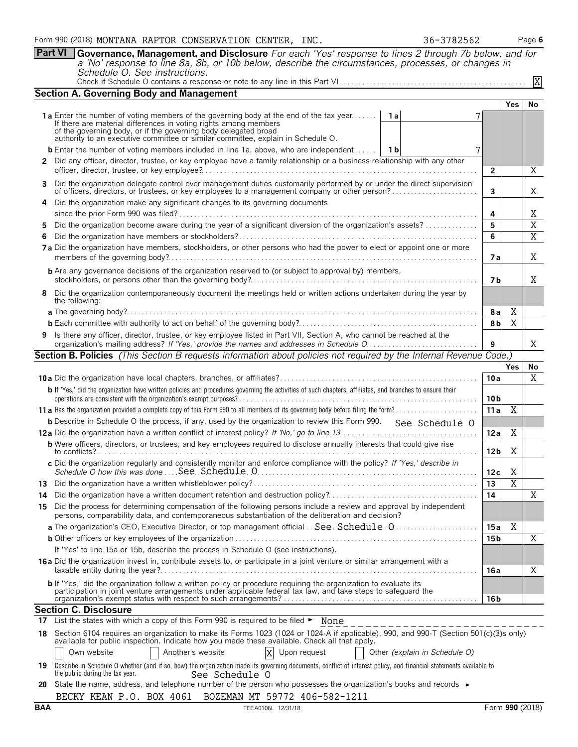**Part VI Governance, Management, and Disclosure** *For each 'Yes' response to lines 2 through 7b below, and for a 'No' response to line 8a, 8b, or 10b below, describe the circumstances, processes, or changes in Schedule O. See instructions.*

| Check if Schedule O contains a response or note to any line in this Part V $\left[\ldots,\ldots,\ldots,\ldots,\ldots,\ldots,\ldots,\ldots,\ldots,\ldots,\ldots,\ldots\right]$ | □△ |
|-------------------------------------------------------------------------------------------------------------------------------------------------------------------------------|----|
|-------------------------------------------------------------------------------------------------------------------------------------------------------------------------------|----|

|     | <b>Section A. Governing Body and Management</b>                                                                                                                                                                                                                                                                       |                 |                |                |
|-----|-----------------------------------------------------------------------------------------------------------------------------------------------------------------------------------------------------------------------------------------------------------------------------------------------------------------------|-----------------|----------------|----------------|
|     |                                                                                                                                                                                                                                                                                                                       |                 | Yes            | No             |
|     | 1a Enter the number of voting members of the governing body at the end of the tax year<br>1 a<br>If there are material differences in voting rights among members<br>of the governing body, or if the governing body delegated broad authority to an executive committee or similar committee, explain in Schedule O. |                 |                |                |
|     | <b>b</b> Enter the number of voting members included in line 1a, above, who are independent   1b<br>7                                                                                                                                                                                                                 |                 |                |                |
|     | 2 Did any officer, director, trustee, or key employee have a family relationship or a business relationship with any other                                                                                                                                                                                            |                 |                |                |
|     |                                                                                                                                                                                                                                                                                                                       | $\overline{2}$  |                | Χ              |
|     | 3 Did the organization delegate control over management duties customarily performed by or under the direct supervision                                                                                                                                                                                               |                 |                |                |
|     |                                                                                                                                                                                                                                                                                                                       | 3               |                | Χ              |
|     | 4 Did the organization make any significant changes to its governing documents                                                                                                                                                                                                                                        | 4               |                | Χ              |
| 5.  | Did the organization become aware during the year of a significant diversion of the organization's assets?                                                                                                                                                                                                            | 5               |                | $\overline{X}$ |
| 6   |                                                                                                                                                                                                                                                                                                                       | 6               |                | $\overline{X}$ |
|     | 7a Did the organization have members, stockholders, or other persons who had the power to elect or appoint one or more                                                                                                                                                                                                | 7а              |                | Χ              |
|     | <b>b</b> Are any governance decisions of the organization reserved to (or subject to approval by) members,                                                                                                                                                                                                            | 7 b             |                | Χ              |
|     | 8 Did the organization contemporaneously document the meetings held or written actions undertaken during the year by<br>the following:                                                                                                                                                                                |                 |                |                |
|     |                                                                                                                                                                                                                                                                                                                       | 8a              | X              |                |
|     |                                                                                                                                                                                                                                                                                                                       | 8 <sub>b</sub>  | X              |                |
|     | 9 Is there any officer, director, trustee, or key employee listed in Part VII, Section A, who cannot be reached at the                                                                                                                                                                                                |                 |                |                |
|     |                                                                                                                                                                                                                                                                                                                       | 9               |                | Χ              |
|     | Section B. Policies (This Section B requests information about policies not required by the Internal Revenue Code.)                                                                                                                                                                                                   |                 |                |                |
|     |                                                                                                                                                                                                                                                                                                                       |                 | <b>Yes</b>     | No             |
|     |                                                                                                                                                                                                                                                                                                                       | 10a             |                | $\overline{X}$ |
|     | b If 'Yes,' did the organization have written policies and procedures governing the activities of such chapters, affiliates, and branches to ensure their                                                                                                                                                             | 10 <sub>b</sub> |                |                |
|     |                                                                                                                                                                                                                                                                                                                       | 11a             | $\overline{X}$ |                |
|     | <b>b</b> Describe in Schedule O the process, if any, used by the organization to review this Form 990. See Schedule O                                                                                                                                                                                                 |                 |                |                |
|     |                                                                                                                                                                                                                                                                                                                       | 12a             | Χ              |                |
|     | <b>b</b> Were officers, directors, or trustees, and key employees required to disclose annually interests that could give rise                                                                                                                                                                                        | 12 <sub>b</sub> | Χ              |                |
|     | c Did the organization regularly and consistently monitor and enforce compliance with the policy? If 'Yes,' describe in                                                                                                                                                                                               | 12c             | X              |                |
|     |                                                                                                                                                                                                                                                                                                                       | $\overline{13}$ | $\overline{X}$ |                |
|     |                                                                                                                                                                                                                                                                                                                       | 14              |                | Χ              |
|     | 15 Did the process for determining compensation of the following persons include a review and approval by independent                                                                                                                                                                                                 |                 |                |                |
|     | persons, comparability data, and contemporaneous substantiation of the deliberation and decision?                                                                                                                                                                                                                     |                 |                |                |
|     | a The organization's CEO, Executive Director, or top management official . See Schedule 0                                                                                                                                                                                                                             | 15a             | Χ              |                |
|     | If 'Yes' to line 15a or 15b, describe the process in Schedule O (see instructions).                                                                                                                                                                                                                                   | 15 <sub>b</sub> |                | X              |
|     | 16a Did the organization invest in, contribute assets to, or participate in a joint venture or similar arrangement with a                                                                                                                                                                                             |                 |                |                |
|     |                                                                                                                                                                                                                                                                                                                       | 16a             |                | Χ              |
|     | <b>b</b> If 'Yes,' did the organization follow a written policy or procedure requiring the organization to evaluate its<br>participation in joint venture arrangements under applicable federal tax law, and take steps to safeguard the                                                                              |                 |                |                |
|     |                                                                                                                                                                                                                                                                                                                       | 16 b            |                |                |
|     | <b>Section C. Disclosure</b>                                                                                                                                                                                                                                                                                          |                 |                |                |
|     | 17 List the states with which a copy of this Form 990 is required to be filed • None                                                                                                                                                                                                                                  |                 |                |                |
| 18. | Section 6104 requires an organization to make its Forms 1023 (1024 or 1024-A if applicable), 990, and 990-T (Section 501(c)(3)s only)<br>available for public inspection. Indicate how you made these available. Check all that apply.                                                                                |                 |                |                |
|     | Another's website<br>X<br>Own website<br>Upon request<br>Other (explain in Schedule O)                                                                                                                                                                                                                                |                 |                |                |
| 19  | Describe in Schedule O whether (and if so, how) the organization made its governing documents, conflict of interest policy, and financial statements available to<br>the public during the tax year.<br>See Schedule O                                                                                                |                 |                |                |

|  |  | 20 State the name, address, and telephone number of the person who possesses the organization's books and records $\rightarrow$ |  |
|--|--|---------------------------------------------------------------------------------------------------------------------------------|--|
|  |  | BECKY KEAN P.O. BOX 4061 BOZEMAN MT 59772 406-582-1211                                                                          |  |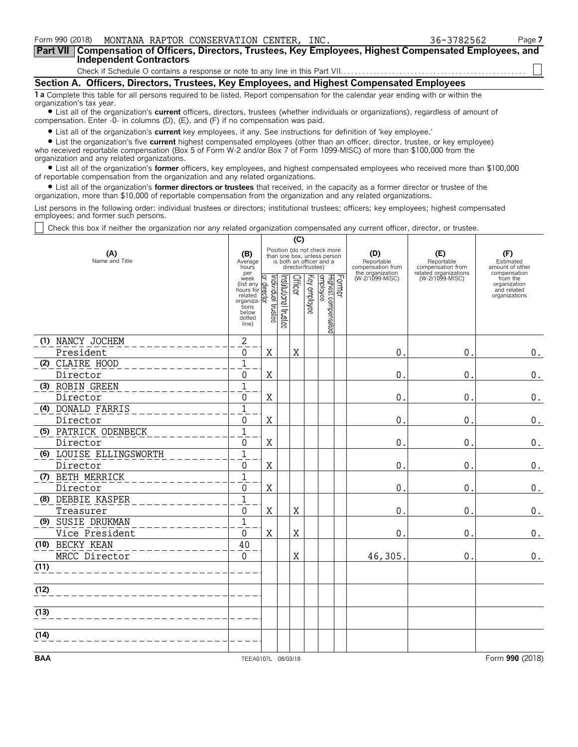| Form 990 (2018) MONTANA RAPTOR CONSERVATION CENTER, INC.                                                                                                                                                                                                                                                        | 36-3782562 | Page 7 |
|-----------------------------------------------------------------------------------------------------------------------------------------------------------------------------------------------------------------------------------------------------------------------------------------------------------------|------------|--------|
| Part VII   Compensation of Officers, Directors, Trustees, Key Employees, Highest Compensated Employees, and<br><b>Independent Contractors</b>                                                                                                                                                                   |            |        |
|                                                                                                                                                                                                                                                                                                                 |            |        |
|                                                                                                                                                                                                                                                                                                                 |            |        |
| Section A. Officers, Directors, Trustees, Key Employees, and Highest Compensated Employees                                                                                                                                                                                                                      |            |        |
| <b>1 a</b> Complete this table for all persons required to be listed. Report compensation for the calendar year ending with or within the<br>organization's tax year.<br>• List all of the organization's current officers, directors, trustees (whether individuals or organizations), regardless of amount of |            |        |

compensation. Enter -0- in columns (D), (E), and (F) if no compensation was paid.

? List all of the organization's **current** key employees, if any. See instructions for definition of 'key employee.'

? List the organization's five **current** highest compensated employees (other than an officer, director, trustee, or key employee) who received reportable compensation (Box 5 of Form W-2 and/or Box 7 of Form 1099-MISC) of more than \$100,000 from the organization and any related organizations.

? List all of the organization's **former** officers, key employees, and highest compensated employees who received more than \$100,000 of reportable compensation from the organization and any related organizations.

? List all of the organization's **former directors or trustees** that received, in the capacity as a former director or trustee of the organization, more than \$10,000 of reportable compensation from the organization and any related organizations.

List persons in the following order: individual trustees or directors; institutional trustees; officers; key employees; highest compensated employees; and former such persons.

Check this box if neither the organization nor any related organization compensated any current officer, director, or trustee.

|                         |                                                                                             |                                |                       | (C)     |                   |                                                                                        |        |                                                            |                                                                 |                                                          |
|-------------------------|---------------------------------------------------------------------------------------------|--------------------------------|-----------------------|---------|-------------------|----------------------------------------------------------------------------------------|--------|------------------------------------------------------------|-----------------------------------------------------------------|----------------------------------------------------------|
| (A)<br>Name and Title   | (B)<br>Average<br>hours<br>per                                                              |                                |                       |         | director/trustee) | Position (do not check more<br>than one box, unless person<br>is both an officer and a |        | (D)<br>Reportable<br>compensation from<br>the organization | (E)<br>Reportable<br>compensation from<br>related organizations | (F)<br>Estimated<br>amount of other<br>compensation      |
|                         | week<br>(list any<br>hours for<br>related<br>organiza-<br>tions<br>below<br>dotted<br>line) | Individual trustee<br>director | Institutional trustee | Officer | Key employee      | Highest compensated<br>employee                                                        | Former | (W-2/1099-MISC)                                            | (W-2/1099-MISC)                                                 | from the<br>organization<br>and related<br>organizations |
| (1) NANCY JOCHEM        | $\mathbf{2}$                                                                                |                                |                       |         |                   |                                                                                        |        |                                                            |                                                                 |                                                          |
| President               | 0                                                                                           | X                              |                       | X       |                   |                                                                                        |        | 0                                                          | 0                                                               | 0.                                                       |
| (2) CLAIRE HOOD         | $\mathbf{1}$                                                                                |                                |                       |         |                   |                                                                                        |        |                                                            |                                                                 |                                                          |
| Director                | $\Omega$                                                                                    | X                              |                       |         |                   |                                                                                        |        | $\Omega$                                                   | 0                                                               | $0$ .                                                    |
| (3) ROBIN GREEN         | $\mathbf{1}$                                                                                |                                |                       |         |                   |                                                                                        |        |                                                            |                                                                 |                                                          |
| Director                | $\Omega$                                                                                    | $\mathbf X$                    |                       |         |                   |                                                                                        |        | $\Omega$                                                   | $\mathbf 0$                                                     | $0$ .                                                    |
| (4) DONALD FARRIS       | $\overline{1}$                                                                              |                                |                       |         |                   |                                                                                        |        |                                                            |                                                                 |                                                          |
| Director                | 0                                                                                           | $\mathbf X$                    |                       |         |                   |                                                                                        |        | 0                                                          | 0                                                               | 0.                                                       |
| (5) PATRICK ODENBECK    | $\mathbf 1$                                                                                 |                                |                       |         |                   |                                                                                        |        |                                                            |                                                                 |                                                          |
| Director                | 0                                                                                           | $\mathbf X$                    |                       |         |                   |                                                                                        |        | 0                                                          | 0                                                               | 0.                                                       |
| (6) LOUISE ELLINGSWORTH | $\overline{1}$                                                                              |                                |                       |         |                   |                                                                                        |        |                                                            |                                                                 |                                                          |
| Director                | 0                                                                                           | $\mathbf X$                    |                       |         |                   |                                                                                        |        | 0                                                          | 0                                                               | $\boldsymbol{0}$ .                                       |
| (7) BETH MERRICK        | $\overline{1}$                                                                              |                                |                       |         |                   |                                                                                        |        |                                                            |                                                                 |                                                          |
| Director                | 0                                                                                           | $\rm X$                        |                       |         |                   |                                                                                        |        | $\mathbf 0$                                                | $\mathbf 0$                                                     | $\boldsymbol{0}$ .                                       |
| (8) DEBBIE KASPER       | $\overline{1}$                                                                              |                                |                       |         |                   |                                                                                        |        |                                                            |                                                                 |                                                          |
| Treasurer               | 0                                                                                           | $\mathbf X$                    |                       | X       |                   |                                                                                        |        | 0                                                          | 0                                                               | 0.                                                       |
| (9) SUSIE DRUKMAN       | $\overline{1}$                                                                              |                                |                       |         |                   |                                                                                        |        |                                                            |                                                                 |                                                          |
| Vice President          | 0                                                                                           | $\mathbf X$                    |                       | X       |                   |                                                                                        |        | 0                                                          | 0                                                               | $\boldsymbol{0}$ .                                       |
| (10) BECKY KEAN         | 40                                                                                          |                                |                       |         |                   |                                                                                        |        |                                                            |                                                                 |                                                          |
| MRCC Director           | $\Omega$                                                                                    |                                |                       | X       |                   |                                                                                        |        | 46,305                                                     | $\mathbf 0$                                                     | $\boldsymbol{0}$ .                                       |
| (11)                    |                                                                                             |                                |                       |         |                   |                                                                                        |        |                                                            |                                                                 |                                                          |
| (12)                    |                                                                                             |                                |                       |         |                   |                                                                                        |        |                                                            |                                                                 |                                                          |
| (13)                    |                                                                                             |                                |                       |         |                   |                                                                                        |        |                                                            |                                                                 |                                                          |
| (14)                    |                                                                                             |                                |                       |         |                   |                                                                                        |        |                                                            |                                                                 |                                                          |
| <b>BAA</b>              | TEEA0107L 08/03/18                                                                          |                                |                       |         |                   |                                                                                        |        |                                                            |                                                                 | Form 990 (2018)                                          |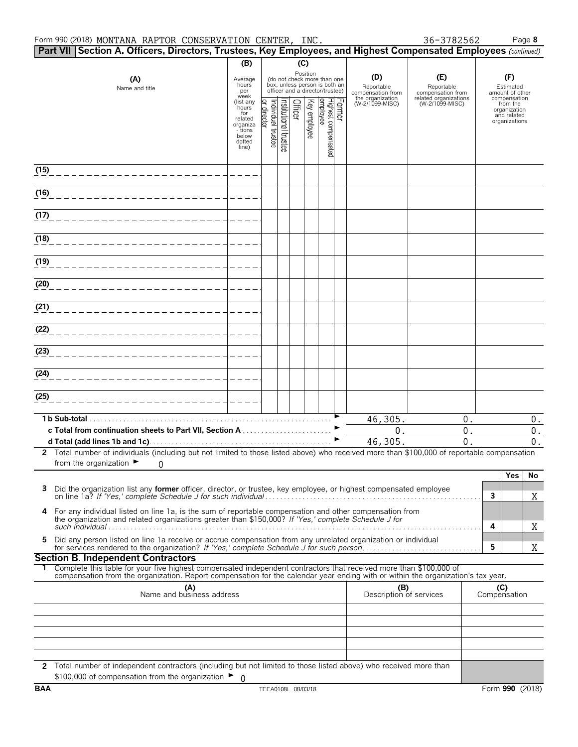#### Form 990 (2018) Page **8** MONTANA RAPTOR CONSERVATION CENTER, INC. 36-3782562

|                                  | Part VII   Section A. Officers, Directors, Trustees, Key Employees, and Highest Compensated Employees (continued)                                                                                                                                      |                                 |                                |                      |         |              |                                                                                                             |  |                                                            |                                                                 |                     |                                                     |       |
|----------------------------------|--------------------------------------------------------------------------------------------------------------------------------------------------------------------------------------------------------------------------------------------------------|---------------------------------|--------------------------------|----------------------|---------|--------------|-------------------------------------------------------------------------------------------------------------|--|------------------------------------------------------------|-----------------------------------------------------------------|---------------------|-----------------------------------------------------|-------|
|                                  |                                                                                                                                                                                                                                                        | (B)                             |                                |                      | (C)     |              |                                                                                                             |  |                                                            |                                                                 |                     |                                                     |       |
|                                  | (A)<br>Name and title                                                                                                                                                                                                                                  | Average<br>hours<br>per<br>week |                                |                      |         |              | Position<br>(do not check more than one<br>box, unless person is both an<br>officer and a director/trustee) |  | (D)<br>Reportable<br>compensation from<br>the organization | (E)<br>Reportable<br>compensation from<br>related organizations |                     | (F)<br>Estimated<br>amount of other<br>compensation |       |
|                                  |                                                                                                                                                                                                                                                        | (list any<br>hours<br>for       |                                |                      | Officer | Key employee | Former<br>Highest compensated<br>Jemployee                                                                  |  | (W-2/1099-MISC)                                            | (W-2/1099-MISC)                                                 |                     | from the<br>organization                            |       |
|                                  |                                                                                                                                                                                                                                                        | related<br>organiza             | Individual trustee<br>director | nstitutional trustee |         |              |                                                                                                             |  |                                                            |                                                                 |                     | and related<br>organizations                        |       |
|                                  |                                                                                                                                                                                                                                                        | - tions<br>below<br>dotted      |                                |                      |         |              |                                                                                                             |  |                                                            |                                                                 |                     |                                                     |       |
|                                  |                                                                                                                                                                                                                                                        | line)                           |                                |                      |         |              |                                                                                                             |  |                                                            |                                                                 |                     |                                                     |       |
| (15)                             |                                                                                                                                                                                                                                                        |                                 |                                |                      |         |              |                                                                                                             |  |                                                            |                                                                 |                     |                                                     |       |
| (16)                             |                                                                                                                                                                                                                                                        |                                 |                                |                      |         |              |                                                                                                             |  |                                                            |                                                                 |                     |                                                     |       |
| (17)                             |                                                                                                                                                                                                                                                        |                                 |                                |                      |         |              |                                                                                                             |  |                                                            |                                                                 |                     |                                                     |       |
|                                  |                                                                                                                                                                                                                                                        |                                 |                                |                      |         |              |                                                                                                             |  |                                                            |                                                                 |                     |                                                     |       |
| (18)                             |                                                                                                                                                                                                                                                        |                                 |                                |                      |         |              |                                                                                                             |  |                                                            |                                                                 |                     |                                                     |       |
| (19)                             |                                                                                                                                                                                                                                                        |                                 |                                |                      |         |              |                                                                                                             |  |                                                            |                                                                 |                     |                                                     |       |
| (20)                             |                                                                                                                                                                                                                                                        |                                 |                                |                      |         |              |                                                                                                             |  |                                                            |                                                                 |                     |                                                     |       |
| (21)                             |                                                                                                                                                                                                                                                        |                                 |                                |                      |         |              |                                                                                                             |  |                                                            |                                                                 |                     |                                                     |       |
| (22)                             |                                                                                                                                                                                                                                                        |                                 |                                |                      |         |              |                                                                                                             |  |                                                            |                                                                 |                     |                                                     |       |
| (23)                             |                                                                                                                                                                                                                                                        |                                 |                                |                      |         |              |                                                                                                             |  |                                                            |                                                                 |                     |                                                     |       |
|                                  |                                                                                                                                                                                                                                                        |                                 |                                |                      |         |              |                                                                                                             |  |                                                            |                                                                 |                     |                                                     |       |
| (24)                             |                                                                                                                                                                                                                                                        |                                 |                                |                      |         |              |                                                                                                             |  |                                                            |                                                                 |                     |                                                     |       |
| (25)                             |                                                                                                                                                                                                                                                        |                                 |                                |                      |         |              |                                                                                                             |  |                                                            |                                                                 |                     |                                                     |       |
|                                  | 1 b Sub-total.                                                                                                                                                                                                                                         |                                 |                                |                      |         |              |                                                                                                             |  | 46,305.                                                    | 0.                                                              |                     |                                                     | 0.    |
|                                  | c Total from continuation sheets to Part VII, Section A                                                                                                                                                                                                |                                 |                                |                      |         |              |                                                                                                             |  | 0.                                                         | $0$ .                                                           |                     |                                                     | 0.    |
|                                  | 2 Total number of individuals (including but not limited to those listed above) who received more than \$100,000 of reportable compensation                                                                                                            |                                 |                                |                      |         |              |                                                                                                             |  | 46,305.                                                    | 0.                                                              |                     |                                                     | $0$ . |
|                                  | from the organization $\blacktriangleright$<br>$\Omega$                                                                                                                                                                                                |                                 |                                |                      |         |              |                                                                                                             |  |                                                            |                                                                 |                     |                                                     |       |
|                                  |                                                                                                                                                                                                                                                        |                                 |                                |                      |         |              |                                                                                                             |  |                                                            |                                                                 |                     | <b>Yes</b>                                          | No    |
| 3                                | Did the organization list any former officer, director, or trustee, key employee, or highest compensated employee                                                                                                                                      |                                 |                                |                      |         |              |                                                                                                             |  |                                                            |                                                                 | 3                   |                                                     | X     |
| 4                                | For any individual listed on line 1a, is the sum of reportable compensation and other compensation from<br>the organization and related organizations greater than \$150,000? If 'Yes,' complete Schedule J for                                        |                                 |                                |                      |         |              |                                                                                                             |  |                                                            |                                                                 | 4                   |                                                     | Χ     |
| 5                                | Did any person listed on line 1a receive or accrue compensation from any unrelated organization or individual                                                                                                                                          |                                 |                                |                      |         |              |                                                                                                             |  |                                                            |                                                                 | 5                   |                                                     | X     |
|                                  | <b>Section B. Independent Contractors</b>                                                                                                                                                                                                              |                                 |                                |                      |         |              |                                                                                                             |  |                                                            |                                                                 |                     |                                                     |       |
|                                  | Complete this table for your five highest compensated independent contractors that received more than \$100,000 of<br>compensation from the organization. Report compensation for the calendar year ending with or within the organization's tax year. |                                 |                                |                      |         |              |                                                                                                             |  |                                                            |                                                                 |                     |                                                     |       |
| (A)<br>Name and business address |                                                                                                                                                                                                                                                        |                                 |                                |                      |         |              |                                                                                                             |  | (B)<br>Description of services                             |                                                                 | (C)<br>Compensation |                                                     |       |
|                                  |                                                                                                                                                                                                                                                        |                                 |                                |                      |         |              |                                                                                                             |  |                                                            |                                                                 |                     |                                                     |       |
|                                  |                                                                                                                                                                                                                                                        |                                 |                                |                      |         |              |                                                                                                             |  |                                                            |                                                                 |                     |                                                     |       |
|                                  |                                                                                                                                                                                                                                                        |                                 |                                |                      |         |              |                                                                                                             |  |                                                            |                                                                 |                     |                                                     |       |
|                                  |                                                                                                                                                                                                                                                        |                                 |                                |                      |         |              |                                                                                                             |  |                                                            |                                                                 |                     |                                                     |       |
|                                  | 2 Total number of independent contractors (including but not limited to those listed above) who received more than<br>\$100,000 of compensation from the organization $\blacktriangleright$ 0                                                          |                                 |                                |                      |         |              |                                                                                                             |  |                                                            |                                                                 |                     |                                                     |       |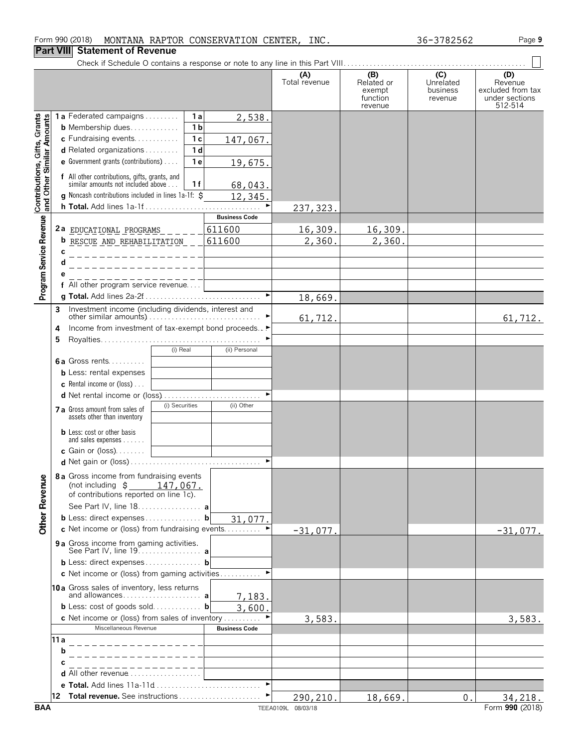# **Part VIII Statement of Revenue**

|                                                           |      |                                                                                           |                       | (A)<br>Total revenue | (B)<br>Related or<br>exempt<br>function<br>revenue | (C)<br>Unrelated<br>business<br>revenue | (D)<br>Revenue<br>excluded from tax<br>under sections<br>512-514 |
|-----------------------------------------------------------|------|-------------------------------------------------------------------------------------------|-----------------------|----------------------|----------------------------------------------------|-----------------------------------------|------------------------------------------------------------------|
|                                                           |      | <b>1a</b> Federated campaigns $\ldots$<br>1a                                              | 2,538.                |                      |                                                    |                                         |                                                                  |
|                                                           |      | 1 <sub>b</sub><br><b>b</b> Membership dues                                                |                       |                      |                                                    |                                         |                                                                  |
|                                                           |      | 1 <sub>c</sub><br>c Fundraising events                                                    | 147,067.              |                      |                                                    |                                         |                                                                  |
|                                                           |      | 1 <sub>d</sub><br>$d$ Related organizations                                               |                       |                      |                                                    |                                         |                                                                  |
|                                                           |      | <b>e</b> Government grants (contributions) $\ldots$<br>1 <sub>e</sub>                     | 19,675.               |                      |                                                    |                                         |                                                                  |
| Contributions, Gifts, Grants<br>and Other Similar Amounts |      | f All other contributions, gifts, grants, and<br>similar amounts not included above<br>1f | 68,043.               |                      |                                                    |                                         |                                                                  |
|                                                           |      | <b>g</b> Noncash contributions included in lines 1a-1f: $\ddot{\mathbf{S}}$               | 12,345.               |                      |                                                    |                                         |                                                                  |
|                                                           |      | h Total. Add lines 1a-1f                                                                  |                       | 237, 323.            |                                                    |                                         |                                                                  |
|                                                           |      |                                                                                           | <b>Business Code</b>  |                      |                                                    |                                         |                                                                  |
|                                                           |      | 2a EDUCATIONAL PROGRAMS                                                                   | 611600                | 16,309.              | 16,309.                                            |                                         |                                                                  |
|                                                           |      | <b>b</b> RESCUE AND REHABILITATION __                                                     | 611600                | 2,360.               | 2,360.                                             |                                         |                                                                  |
| Program Service Revenue                                   | c    |                                                                                           |                       |                      |                                                    |                                         |                                                                  |
|                                                           |      |                                                                                           |                       |                      |                                                    |                                         |                                                                  |
|                                                           |      |                                                                                           |                       |                      |                                                    |                                         |                                                                  |
|                                                           |      | f All other program service revenue                                                       |                       |                      |                                                    |                                         |                                                                  |
|                                                           |      |                                                                                           | $\blacksquare$        | 18,669.              |                                                    |                                         |                                                                  |
|                                                           | 3    | Investment income (including dividends, interest and                                      |                       |                      |                                                    |                                         |                                                                  |
|                                                           |      |                                                                                           |                       | 61,712.              |                                                    |                                         | 61, 712.                                                         |
|                                                           | 4    | Income from investment of tax-exempt bond proceeds ▶                                      |                       |                      |                                                    |                                         |                                                                  |
|                                                           | 5    |                                                                                           |                       |                      |                                                    |                                         |                                                                  |
|                                                           |      | (i) Real                                                                                  | (ii) Personal         |                      |                                                    |                                         |                                                                  |
|                                                           |      | 6a Gross rents                                                                            |                       |                      |                                                    |                                         |                                                                  |
|                                                           |      | <b>b</b> Less: rental expenses                                                            |                       |                      |                                                    |                                         |                                                                  |
|                                                           |      | <b>c</b> Rental income or (loss) $\ldots$                                                 |                       |                      |                                                    |                                         |                                                                  |
|                                                           |      |                                                                                           |                       |                      |                                                    |                                         |                                                                  |
|                                                           |      | (i) Securities<br>7 a Gross amount from sales of<br>assets other than inventory           | (ii) Other            |                      |                                                    |                                         |                                                                  |
|                                                           |      | <b>b</b> Less: cost or other basis<br>and sales expenses                                  |                       |                      |                                                    |                                         |                                                                  |
|                                                           |      | c Gain or $(loss)$                                                                        |                       |                      |                                                    |                                         |                                                                  |
|                                                           |      |                                                                                           |                       |                      |                                                    |                                         |                                                                  |
| <b>Other Revenue</b>                                      |      | 8 a Gross income from fundraising events<br>(not including $\sin 147,067$ .               |                       |                      |                                                    |                                         |                                                                  |
|                                                           |      | of contributions reported on line 1c).                                                    |                       |                      |                                                    |                                         |                                                                  |
|                                                           |      | See Part IV, line 18. a                                                                   |                       |                      |                                                    |                                         |                                                                  |
|                                                           |      | <b>b</b> Less: direct expenses <b>b</b>                                                   | 31,077.               |                      |                                                    |                                         |                                                                  |
|                                                           |      | c Net income or (loss) from fundraising events                                            |                       | $-31,077.$           |                                                    |                                         | $-31,077.$                                                       |
|                                                           |      | <b>9 a</b> Gross income from gaming activities.                                           |                       |                      |                                                    |                                         |                                                                  |
|                                                           |      | <b>b</b> Less: direct expenses <b>b</b>                                                   |                       |                      |                                                    |                                         |                                                                  |
|                                                           |      | c Net income or (loss) from gaming activities                                             |                       |                      |                                                    |                                         |                                                                  |
|                                                           |      | 10a Gross sales of inventory, less returns                                                |                       |                      |                                                    |                                         |                                                                  |
|                                                           |      |                                                                                           | 7,183.                |                      |                                                    |                                         |                                                                  |
|                                                           |      | <b>b</b> Less: cost of goods sold <b>b</b>                                                | 3,600.                |                      |                                                    |                                         |                                                                  |
|                                                           |      | <b>c</b> Net income or (loss) from sales of inventory                                     |                       | 3,583.               |                                                    |                                         | 3,583.                                                           |
|                                                           |      | Miscellaneous Revenue                                                                     | <b>Business Code</b>  |                      |                                                    |                                         |                                                                  |
|                                                           | 11 a | _ _ _ _ _ _ _ _ _ _ _ _ _                                                                 |                       |                      |                                                    |                                         |                                                                  |
|                                                           | b    |                                                                                           |                       |                      |                                                    |                                         |                                                                  |
|                                                           | С    |                                                                                           |                       |                      |                                                    |                                         |                                                                  |
|                                                           |      | <b>d</b> All other revenue $\ldots, \ldots, \ldots, \ldots, \ldots$                       |                       |                      |                                                    |                                         |                                                                  |
|                                                           |      | e Total. Add lines 11a-11d                                                                | $\blacktriangleright$ |                      |                                                    |                                         |                                                                  |
|                                                           |      |                                                                                           | ٠                     | 290,210.             | 18,669.                                            | 0.                                      | 34,218.                                                          |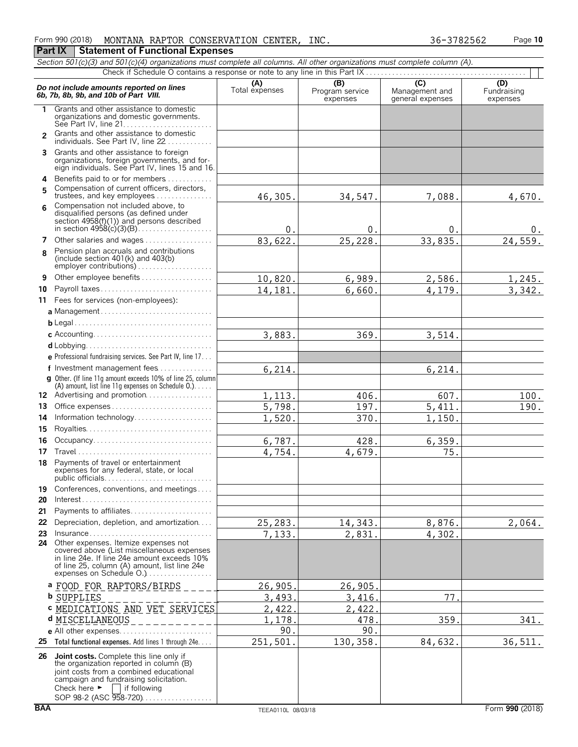|                | Section 501(c)(3) and 501(c)(4) organizations must complete all columns. All other organizations must complete column (A).                                                                                                  |                       |                             |                                    |                         |
|----------------|-----------------------------------------------------------------------------------------------------------------------------------------------------------------------------------------------------------------------------|-----------------------|-----------------------------|------------------------------------|-------------------------|
|                |                                                                                                                                                                                                                             |                       | (B)                         | $\overline{C}$                     | (D)                     |
|                | Do not include amounts reported on lines<br>6b, 7b, 8b, 9b, and 10b of Part VIII.                                                                                                                                           | (A)<br>Total expenses | Program service<br>expenses | Management and<br>general expenses | Fundraising<br>expenses |
| 1.             | Grants and other assistance to domestic<br>organizations and domestic governments.                                                                                                                                          |                       |                             |                                    |                         |
| $\overline{2}$ | Grants and other assistance to domestic<br>individuals. See Part IV, line 22                                                                                                                                                |                       |                             |                                    |                         |
| 3              | Grants and other assistance to foreign<br>organizations, foreign governments, and for-<br>eign individuals. See Part IV, lines 15 and 16.                                                                                   |                       |                             |                                    |                         |
| 4              | Benefits paid to or for members                                                                                                                                                                                             |                       |                             |                                    |                         |
| 5              | Compensation of current officers, directors,<br>trustees, and key employees                                                                                                                                                 | 46,305.               | 34,547.                     | 7,088.                             | 4,670.                  |
| ĥ              | Compensation not included above, to<br>disqualified persons (as defined under<br>section $4958(f)(1)$ and persons described                                                                                                 |                       |                             |                                    |                         |
|                |                                                                                                                                                                                                                             | $\theta$ .            | 0.                          | 0                                  | υ.                      |
| 7              | Other salaries and wages                                                                                                                                                                                                    | 83,622.               | 25,228.                     | 33,835                             | 24,559.                 |
| 8              | Pension plan accruals and contributions<br>(include section $401(k)$ and $403(b)$<br>employer contributions)                                                                                                                |                       |                             |                                    |                         |
| 9              | Other employee benefits                                                                                                                                                                                                     | 10,820.               | 6,989.                      | 2,586.                             | 1,245.                  |
| 10             | Payroll taxes                                                                                                                                                                                                               | 14,181.               | 6,660.                      | 4,179.                             | 3,342.                  |
| 11             | Fees for services (non-employees):                                                                                                                                                                                          |                       |                             |                                    |                         |
|                | a Management                                                                                                                                                                                                                |                       |                             |                                    |                         |
|                |                                                                                                                                                                                                                             |                       |                             |                                    |                         |
|                |                                                                                                                                                                                                                             | 3,883.                | 369.                        | 3,514.                             |                         |
|                |                                                                                                                                                                                                                             |                       |                             |                                    |                         |
|                | <b>e</b> Professional fundraising services. See Part IV, line 17                                                                                                                                                            |                       |                             |                                    |                         |
|                | f Investment management fees<br>g Other. (If line 11g amount exceeds 10% of line 25, column                                                                                                                                 | 6,214.                |                             | 6,214.                             |                         |
|                | (A) amount, list line 11g expenses on Schedule 0.)                                                                                                                                                                          |                       |                             |                                    |                         |
|                | 12 Advertising and promotion                                                                                                                                                                                                | 1,113.                | 406.                        | 607.                               | 100.                    |
| 13             | Office expenses                                                                                                                                                                                                             | 5,798.                | 197.                        | 5,411.                             | 190.                    |
| 14             | Information technology                                                                                                                                                                                                      | 1,520.                | 370.                        | 1,150.                             |                         |
| 15             |                                                                                                                                                                                                                             |                       |                             |                                    |                         |
| 16             | Occupancy                                                                                                                                                                                                                   | 6,787.                | 428.                        | 6,359.                             |                         |
| 17             |                                                                                                                                                                                                                             | 4,754.                | 4,679.                      | 75.                                |                         |
| 18             | Payments of travel or entertainment<br>expenses for any federal, state, or local<br>public officials                                                                                                                        |                       |                             |                                    |                         |
| 19             | Conferences, conventions, and meetings                                                                                                                                                                                      |                       |                             |                                    |                         |
| 20             |                                                                                                                                                                                                                             |                       |                             |                                    |                         |
| 21             | Payments to affiliates                                                                                                                                                                                                      |                       |                             |                                    |                         |
| 22             | Depreciation, depletion, and amortization                                                                                                                                                                                   | 25,283.               | 14,343.                     | 8,876.                             | 2,064.                  |
| 23<br>24       | Insurance<br>Other expenses. Itemize expenses not                                                                                                                                                                           | 7,133.                | 2,831.                      | 4,302.                             |                         |
|                | covered above (List miscellaneous expenses<br>in line 24e. If line 24e amount exceeds 10%<br>of line 25, column (A) amount, list line 24e<br>expenses on Schedule O.)                                                       |                       |                             |                                    |                         |
|                | <u>a FOOD FOR RAPTORS/BIRDS</u>                                                                                                                                                                                             | 26,905                | 26,905.                     |                                    |                         |
|                | <b>b</b> SUPPLIES                                                                                                                                                                                                           | 3,493.                | 3,416.                      | 77                                 |                         |
|                | <b>C MEDICATIONS AND VET SERVICES</b>                                                                                                                                                                                       | 2,422                 | 2,422                       |                                    |                         |
|                | d MISCELLANEOUS                                                                                                                                                                                                             | 1,178                 | 478                         | 359                                | 341.                    |
|                |                                                                                                                                                                                                                             | 90.                   | 90.                         |                                    |                         |
| 25             | Total functional expenses. Add lines 1 through 24e.                                                                                                                                                                         | 251,501.              | 130, 358.                   | 84,632.                            | 36,511.                 |
| 26             | Joint costs. Complete this line only if<br>the organization reported in column (B)<br>joint costs from a combined educational<br>campaign and fundraising solicitation.<br>Check here $\blacktriangleright$<br>if following |                       |                             |                                    |                         |

SOP 98-2 (ASC 958-720). . . . . . . . . . . . . . . . .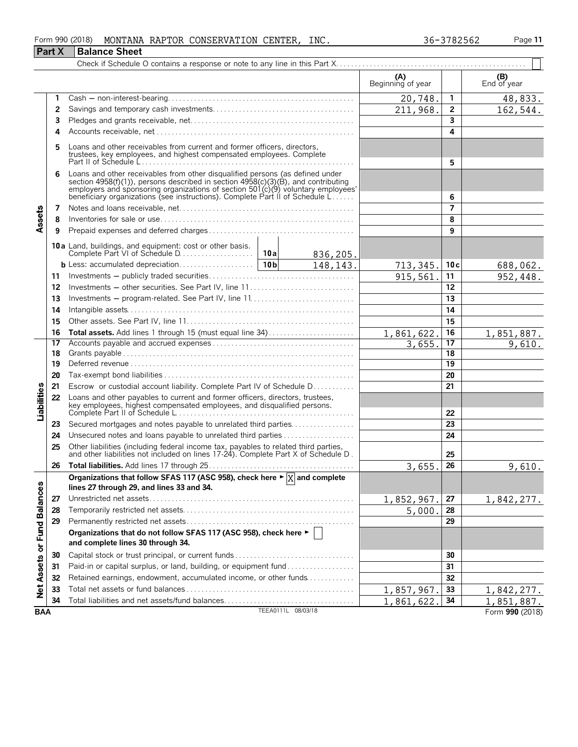#### Form 990 (2018) Page **11** MONTANA RAPTOR CONSERVATION CENTER, INC. 36-3782562 **Part X** Balance Sheet

|                             |    |                                                                                                                                                                                                                                                       |                    |           | (A)<br>Beginning of year |                         | (B)<br>End of year |
|-----------------------------|----|-------------------------------------------------------------------------------------------------------------------------------------------------------------------------------------------------------------------------------------------------------|--------------------|-----------|--------------------------|-------------------------|--------------------|
|                             | 1  |                                                                                                                                                                                                                                                       |                    |           | 20,748.                  | $\mathbf{1}$            | 48,833.            |
|                             | 2  |                                                                                                                                                                                                                                                       |                    |           | 211,968.                 | $\overline{2}$          | 162,544.           |
|                             | 3  |                                                                                                                                                                                                                                                       |                    |           |                          | $\overline{\mathbf{3}}$ |                    |
|                             | 4  |                                                                                                                                                                                                                                                       |                    |           |                          | 4                       |                    |
|                             | 5  | Loans and other receivables from current and former officers, directors,                                                                                                                                                                              |                    |           |                          |                         |                    |
|                             |    | Loans and other receivables from other disqualified persons (as defined under                                                                                                                                                                         |                    |           |                          | 5                       |                    |
|                             | 6  | section 4958(f)(1)), persons described in section 4958(c)(3)(B), and contributing<br>employers and sponsoring organizations of section 501(c)(9) voluntary employees'<br>beneficiary organizations (see instructions). Complete Part II of Schedule L |                    |           |                          | 6                       |                    |
|                             | 7  |                                                                                                                                                                                                                                                       |                    |           |                          | $\overline{ }$          |                    |
| Assets                      | 8  |                                                                                                                                                                                                                                                       |                    |           |                          | 8                       |                    |
|                             | 9  |                                                                                                                                                                                                                                                       |                    |           |                          | 9                       |                    |
|                             |    | 10a Land, buildings, and equipment: cost or other basis.                                                                                                                                                                                              |                    | 836,205.  |                          |                         |                    |
|                             |    |                                                                                                                                                                                                                                                       |                    | 148, 143. | 713,345.                 | 10c                     | 688,062.           |
|                             | 11 |                                                                                                                                                                                                                                                       |                    |           | 915,561                  | 11                      | 952,448.           |
|                             | 12 | Investments - other securities. See Part IV, line 11                                                                                                                                                                                                  |                    |           |                          | 12                      |                    |
|                             | 13 |                                                                                                                                                                                                                                                       |                    |           |                          | 13                      |                    |
|                             | 14 |                                                                                                                                                                                                                                                       |                    |           | 14                       |                         |                    |
|                             | 15 |                                                                                                                                                                                                                                                       |                    |           |                          | 15                      |                    |
|                             | 16 | Total assets. Add lines 1 through 15 (must equal line 34)                                                                                                                                                                                             |                    |           | 1,861,622.               | 16                      | 1,851,887.         |
|                             | 17 |                                                                                                                                                                                                                                                       |                    |           | 3,655.                   | 17                      | 9,610.             |
|                             | 18 |                                                                                                                                                                                                                                                       |                    |           |                          | 18                      |                    |
|                             | 19 |                                                                                                                                                                                                                                                       |                    |           |                          | 19                      |                    |
|                             | 20 |                                                                                                                                                                                                                                                       |                    |           |                          | 20                      |                    |
|                             | 21 | Escrow or custodial account liability. Complete Part IV of Schedule D                                                                                                                                                                                 |                    |           |                          | 21                      |                    |
| Liabilities                 | 22 | Loans and other payables to current and former officers, directors, trustees,<br>key employees, highest compensated employees, and disqualified persons.                                                                                              |                    |           |                          | 22                      |                    |
|                             | 23 | Secured mortgages and notes payable to unrelated third parties                                                                                                                                                                                        |                    |           |                          | 23                      |                    |
|                             | 24 |                                                                                                                                                                                                                                                       |                    |           |                          | 24                      |                    |
|                             | 25 | Other liabilities (including federal income tax, payables to related third parties, and other liabilities not included on lines 17-24). Complete Part X of Schedule D.                                                                                |                    |           |                          | 25                      |                    |
|                             | 26 |                                                                                                                                                                                                                                                       |                    |           | 3,655.                   | 26                      | 9,610.             |
|                             |    | Organizations that follow SFAS 117 (ASC 958), check here $\blacktriangleright \boxed{X}$ and complete<br>lines 27 through 29, and lines 33 and 34.                                                                                                    |                    |           |                          |                         |                    |
|                             | 27 |                                                                                                                                                                                                                                                       |                    |           | 1,852,967.               | 27                      | 1,842,277.         |
|                             | 28 |                                                                                                                                                                                                                                                       |                    |           | 5,000                    | 28                      |                    |
|                             | 29 |                                                                                                                                                                                                                                                       |                    |           |                          | 29                      |                    |
| Net Assets or Fund Balances |    | Organizations that do not follow SFAS 117 (ASC 958), check here $\blacktriangleright$    <br>and complete lines 30 through 34.                                                                                                                        |                    |           |                          |                         |                    |
|                             | 30 | Capital stock or trust principal, or current funds                                                                                                                                                                                                    |                    |           |                          | 30                      |                    |
|                             | 31 | Paid-in or capital surplus, or land, building, or equipment fund                                                                                                                                                                                      |                    |           |                          | 31                      |                    |
|                             | 32 | Retained earnings, endowment, accumulated income, or other funds                                                                                                                                                                                      |                    |           |                          | 32                      |                    |
|                             | 33 |                                                                                                                                                                                                                                                       |                    |           | 1,857,967                | 33                      | 1,842,277.         |
|                             | 34 | Total liabilities and net assets/fund balances                                                                                                                                                                                                        |                    |           | 1,861,622                | 34                      | 1,851,887.         |
| <b>BAA</b>                  |    |                                                                                                                                                                                                                                                       | TEEA0111L 08/03/18 |           |                          |                         | Form 990 (2018)    |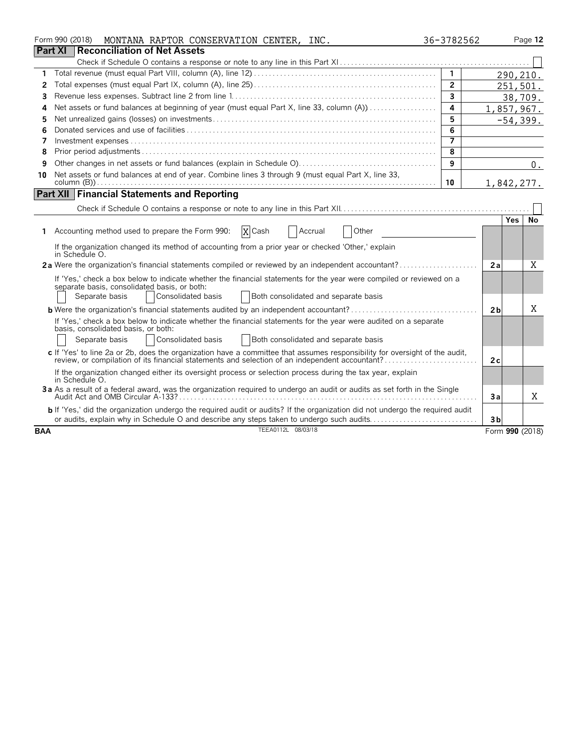|            | Form 990 (2018)<br>MONTANA RAPTOR CONSERVATION CENTER, INC.                                                                                                          | 36-3782562              |                 | Page 12 |
|------------|----------------------------------------------------------------------------------------------------------------------------------------------------------------------|-------------------------|-----------------|---------|
|            | <b>Reconciliation of Net Assets</b><br><b>Part XI</b>                                                                                                                |                         |                 |         |
|            |                                                                                                                                                                      |                         |                 |         |
| 1          |                                                                                                                                                                      | $\overline{1}$          | 290,210.        |         |
| 2          |                                                                                                                                                                      | $\mathbf{2}$            | 251,501.        |         |
| 3          |                                                                                                                                                                      | 3                       |                 | 38,709. |
| 4          | Net assets or fund balances at beginning of year (must equal Part X, line 33, column (A))                                                                            | 4                       | 1,857,967.      |         |
| 5          |                                                                                                                                                                      | 5                       | $-54,399.$      |         |
| 6          |                                                                                                                                                                      | $\overline{6}$          |                 |         |
| 7          |                                                                                                                                                                      | $\overline{\mathbf{z}}$ |                 |         |
| 8          |                                                                                                                                                                      | 8                       |                 |         |
| 9          |                                                                                                                                                                      | 9                       |                 | 0.      |
| 10         | Net assets or fund balances at end of year. Combine lines 3 through 9 (must equal Part X, line 33,                                                                   | 10                      | 1,842,277.      |         |
|            | <b>Part XII Financial Statements and Reporting</b>                                                                                                                   |                         |                 |         |
|            |                                                                                                                                                                      |                         |                 |         |
|            |                                                                                                                                                                      |                         | <b>Yes</b>      | No      |
|            | X Cash<br>1 Accounting method used to prepare the Form 990:<br>Accrual<br>Other                                                                                      |                         |                 |         |
|            | If the organization changed its method of accounting from a prior year or checked 'Other,' explain<br>in Schedule O.                                                 |                         |                 |         |
|            | 2a Were the organization's financial statements compiled or reviewed by an independent accountant?                                                                   |                         | 2a              | X       |
|            | If 'Yes,' check a box below to indicate whether the financial statements for the year were compiled or reviewed on a<br>separate basis, consolidated basis, or both: |                         |                 |         |
|            | Consolidated basis<br>Both consolidated and separate basis<br>Separate basis                                                                                         |                         |                 |         |
|            | <b>b</b> Were the organization's financial statements audited by an independent accountant?                                                                          |                         | 2 <sub>b</sub>  | Χ       |
|            | If 'Yes,' check a box below to indicate whether the financial statements for the year were audited on a separate<br>basis, consolidated basis, or both:              |                         |                 |         |
|            | Consolidated basis<br>Both consolidated and separate basis<br>Separate basis                                                                                         |                         |                 |         |
|            | c If 'Yes' to line 2a or 2b, does the organization have a committee that assumes responsibility for oversight of the audit,                                          |                         | 2c              |         |
|            | If the organization changed either its oversight process or selection process during the tax year, explain<br>in Schedule O.                                         |                         |                 |         |
|            | 3a As a result of a federal award, was the organization required to undergo an audit or audits as set forth in the Single                                            |                         | Зa              | Χ       |
|            | b If 'Yes,' did the organization undergo the required audit or audits? If the organization did not undergo the required audit                                        |                         |                 |         |
|            | or audits, explain why in Schedule O and describe any steps taken to undergo such audits                                                                             |                         | 3 <sub>b</sub>  |         |
| <b>BAA</b> | TEEA0112L 08/03/18                                                                                                                                                   |                         | Form 990 (2018) |         |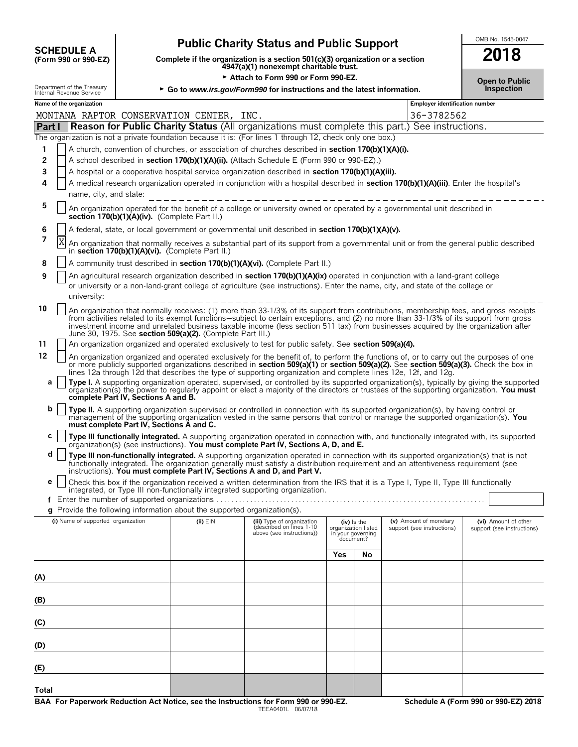| <b>SCHEDULE A</b>                               |
|-------------------------------------------------|
| $(T_{\alpha\mu m}$ 000 $_{\alpha\nu}$ 000 $E$ 7 |

# **Public Charity Status and Public Support**<br>
Dete if the organization is a section 501(c)(3) organization or a section<br> **SALE A**

**COMPOUTE A**<br>
(Form 990 or 990-EZ) Complete if the organization is a section 501(c)(3) organization or a section<br>
4947(a)(1) nonexempt charitable trust.

|        |                                                                                                                                                                                                                                                                 |                                                                                                                                                                                                                                                                                                                                                                                                                                                                                  |                                                                            | Attach to Form 990 or Form 990-EZ.                                                                                                                                                                                                                                                                                                                                                                 |     |                                                       |                                       | <b>Open to Public</b>      |  |  |  |  |
|--------|-----------------------------------------------------------------------------------------------------------------------------------------------------------------------------------------------------------------------------------------------------------------|----------------------------------------------------------------------------------------------------------------------------------------------------------------------------------------------------------------------------------------------------------------------------------------------------------------------------------------------------------------------------------------------------------------------------------------------------------------------------------|----------------------------------------------------------------------------|----------------------------------------------------------------------------------------------------------------------------------------------------------------------------------------------------------------------------------------------------------------------------------------------------------------------------------------------------------------------------------------------------|-----|-------------------------------------------------------|---------------------------------------|----------------------------|--|--|--|--|
|        | Department of the Treasury<br>Internal Revenue Service                                                                                                                                                                                                          |                                                                                                                                                                                                                                                                                                                                                                                                                                                                                  |                                                                            | ► Go to www.irs.gov/Form990 for instructions and the latest information.                                                                                                                                                                                                                                                                                                                           |     |                                                       |                                       | <b>Inspection</b>          |  |  |  |  |
|        | Name of the organization                                                                                                                                                                                                                                        |                                                                                                                                                                                                                                                                                                                                                                                                                                                                                  |                                                                            |                                                                                                                                                                                                                                                                                                                                                                                                    |     |                                                       | <b>Employer identification number</b> |                            |  |  |  |  |
|        |                                                                                                                                                                                                                                                                 |                                                                                                                                                                                                                                                                                                                                                                                                                                                                                  | MONTANA RAPTOR CONSERVATION CENTER, INC.                                   |                                                                                                                                                                                                                                                                                                                                                                                                    |     |                                                       | 36-3782562                            |                            |  |  |  |  |
| Part I |                                                                                                                                                                                                                                                                 |                                                                                                                                                                                                                                                                                                                                                                                                                                                                                  |                                                                            | <b>Reason for Public Charity Status</b> (All organizations must complete this part.) See instructions.                                                                                                                                                                                                                                                                                             |     |                                                       |                                       |                            |  |  |  |  |
|        |                                                                                                                                                                                                                                                                 |                                                                                                                                                                                                                                                                                                                                                                                                                                                                                  |                                                                            | The organization is not a private foundation because it is: (For lines 1 through 12, check only one box.)                                                                                                                                                                                                                                                                                          |     |                                                       |                                       |                            |  |  |  |  |
| 1      |                                                                                                                                                                                                                                                                 |                                                                                                                                                                                                                                                                                                                                                                                                                                                                                  |                                                                            | A church, convention of churches, or association of churches described in section 170(b)(1)(A)(i).                                                                                                                                                                                                                                                                                                 |     |                                                       |                                       |                            |  |  |  |  |
| 2<br>3 |                                                                                                                                                                                                                                                                 |                                                                                                                                                                                                                                                                                                                                                                                                                                                                                  |                                                                            | A school described in section 170(b)(1)(A)(ii). (Attach Schedule E (Form 990 or 990-EZ).)<br>A hospital or a cooperative hospital service organization described in section 170(b)(1)(A)(iii).                                                                                                                                                                                                     |     |                                                       |                                       |                            |  |  |  |  |
| 4      |                                                                                                                                                                                                                                                                 |                                                                                                                                                                                                                                                                                                                                                                                                                                                                                  |                                                                            | A medical research organization operated in conjunction with a hospital described in section 170(b)(1)(A)(iii). Enter the hospital's                                                                                                                                                                                                                                                               |     |                                                       |                                       |                            |  |  |  |  |
|        | name, city, and state:                                                                                                                                                                                                                                          |                                                                                                                                                                                                                                                                                                                                                                                                                                                                                  |                                                                            |                                                                                                                                                                                                                                                                                                                                                                                                    |     |                                                       |                                       |                            |  |  |  |  |
| 5      | _______________________________<br>An organization operated for the benefit of a college or university owned or operated by a governmental unit described in<br>section 170(b)(1)(A)(iv). (Complete Part II.)                                                   |                                                                                                                                                                                                                                                                                                                                                                                                                                                                                  |                                                                            |                                                                                                                                                                                                                                                                                                                                                                                                    |     |                                                       |                                       |                            |  |  |  |  |
| 6      | A federal, state, or local government or governmental unit described in section 170(b)(1)(A)(v).                                                                                                                                                                |                                                                                                                                                                                                                                                                                                                                                                                                                                                                                  |                                                                            |                                                                                                                                                                                                                                                                                                                                                                                                    |     |                                                       |                                       |                            |  |  |  |  |
| 7      | X                                                                                                                                                                                                                                                               | An organization that normally receives a substantial part of its support from a governmental unit or from the general public described<br>in section 170(b)(1)(A)(vi). (Complete Part II.)                                                                                                                                                                                                                                                                                       |                                                                            |                                                                                                                                                                                                                                                                                                                                                                                                    |     |                                                       |                                       |                            |  |  |  |  |
| 8      |                                                                                                                                                                                                                                                                 |                                                                                                                                                                                                                                                                                                                                                                                                                                                                                  |                                                                            | A community trust described in section 170(b)(1)(A)(vi). (Complete Part II.)                                                                                                                                                                                                                                                                                                                       |     |                                                       |                                       |                            |  |  |  |  |
| 9      | An agricultural research organization described in section 170(b)(1)(A)(ix) operated in conjunction with a land-grant college<br>or university or a non-land-grant college of agriculture (see instructions). Enter the name, city, and state of the college or |                                                                                                                                                                                                                                                                                                                                                                                                                                                                                  |                                                                            |                                                                                                                                                                                                                                                                                                                                                                                                    |     |                                                       |                                       |                            |  |  |  |  |
| 10     |                                                                                                                                                                                                                                                                 | An organization that normally receives: (1) more than 33-1/3% of its support from contributions, membership fees, and gross receipts<br>from activities related to its exempt functions-subject to certain exceptions, and (2) no more than 33-1/3% of its support from gross<br>investment income and unrelated business taxable income (less section 511 tax) from businesses acquired by the organization after<br>June 30, 1975. See section 509(a)(2). (Complete Part III.) |                                                                            |                                                                                                                                                                                                                                                                                                                                                                                                    |     |                                                       |                                       |                            |  |  |  |  |
| 11     |                                                                                                                                                                                                                                                                 |                                                                                                                                                                                                                                                                                                                                                                                                                                                                                  |                                                                            | An organization organized and operated exclusively to test for public safety. See section 509(a)(4).                                                                                                                                                                                                                                                                                               |     |                                                       |                                       |                            |  |  |  |  |
| 12     |                                                                                                                                                                                                                                                                 |                                                                                                                                                                                                                                                                                                                                                                                                                                                                                  |                                                                            | An organization organized and operated exclusively for the benefit of, to perform the functions of, or to carry out the purposes of one<br>or more publicly supported organizations described in section 509(a)(1) or section 509(a)(2). See section 509(a)(3). Check the box in<br>lines 12a through 12d that describes the type of supporting organization and complete lines 12e, 12f, and 12g. |     |                                                       |                                       |                            |  |  |  |  |
| a      |                                                                                                                                                                                                                                                                 | complete Part IV, Sections A and B.                                                                                                                                                                                                                                                                                                                                                                                                                                              |                                                                            | Type I. A supporting organization operated, supervised, or controlled by its supported organization(s), typically by giving the supported organization(s) the power to regularly apport or elect a majority of the directors o                                                                                                                                                                     |     |                                                       |                                       |                            |  |  |  |  |
| b      |                                                                                                                                                                                                                                                                 | must complete Part IV, Sections A and C.                                                                                                                                                                                                                                                                                                                                                                                                                                         |                                                                            | Type II. A supporting organization supervised or controlled in connection with its supported organization(s), by having control or<br>management of the supporting organization vested in the same persons that control or manage the supported organization(s). You                                                                                                                               |     |                                                       |                                       |                            |  |  |  |  |
| с      |                                                                                                                                                                                                                                                                 |                                                                                                                                                                                                                                                                                                                                                                                                                                                                                  |                                                                            | Type III functionally integrated. A supporting organization operated in connection with, and functionally integrated with, its supported<br>organization(s) (see instructions). You must complete Part IV, Sections A, D, and E.                                                                                                                                                                   |     |                                                       |                                       |                            |  |  |  |  |
| d      |                                                                                                                                                                                                                                                                 |                                                                                                                                                                                                                                                                                                                                                                                                                                                                                  |                                                                            | Type III non-functionally integrated. A supporting organization operated in connection with its supported organization(s) that is not<br>functionally integrated. The organization generally must satisfy a distribution requirement and an attentiveness requirement (see<br>instructions). You must complete Part IV, Sections A and D, and Part V.                                              |     |                                                       |                                       |                            |  |  |  |  |
| e      |                                                                                                                                                                                                                                                                 |                                                                                                                                                                                                                                                                                                                                                                                                                                                                                  |                                                                            | Check this box if the organization received a written determination from the IRS that it is a Type I, Type II, Type III functionally<br>integrated, or Type III non-functionally integrated supporting organization.                                                                                                                                                                               |     |                                                       |                                       |                            |  |  |  |  |
|        |                                                                                                                                                                                                                                                                 |                                                                                                                                                                                                                                                                                                                                                                                                                                                                                  | $q$ Provide the following information about the supported organization(s). |                                                                                                                                                                                                                                                                                                                                                                                                    |     |                                                       |                                       |                            |  |  |  |  |
|        | (i) Name of supported organization                                                                                                                                                                                                                              |                                                                                                                                                                                                                                                                                                                                                                                                                                                                                  | (ii) EIN                                                                   | (iii) Type of organization                                                                                                                                                                                                                                                                                                                                                                         |     | (iv) Is the                                           | (v) Amount of monetary                | (vi) Amount of other       |  |  |  |  |
|        |                                                                                                                                                                                                                                                                 |                                                                                                                                                                                                                                                                                                                                                                                                                                                                                  |                                                                            | described on lines 1-10<br>above (see instructions))                                                                                                                                                                                                                                                                                                                                               |     | organization listed<br>in your governing<br>document? | support (see instructions)            | support (see instructions) |  |  |  |  |
|        |                                                                                                                                                                                                                                                                 |                                                                                                                                                                                                                                                                                                                                                                                                                                                                                  |                                                                            |                                                                                                                                                                                                                                                                                                                                                                                                    | Yes | No                                                    |                                       |                            |  |  |  |  |
| (A)    |                                                                                                                                                                                                                                                                 |                                                                                                                                                                                                                                                                                                                                                                                                                                                                                  |                                                                            |                                                                                                                                                                                                                                                                                                                                                                                                    |     |                                                       |                                       |                            |  |  |  |  |
| (B)    |                                                                                                                                                                                                                                                                 |                                                                                                                                                                                                                                                                                                                                                                                                                                                                                  |                                                                            |                                                                                                                                                                                                                                                                                                                                                                                                    |     |                                                       |                                       |                            |  |  |  |  |
| (C)    |                                                                                                                                                                                                                                                                 |                                                                                                                                                                                                                                                                                                                                                                                                                                                                                  |                                                                            |                                                                                                                                                                                                                                                                                                                                                                                                    |     |                                                       |                                       |                            |  |  |  |  |
| (D)    |                                                                                                                                                                                                                                                                 |                                                                                                                                                                                                                                                                                                                                                                                                                                                                                  |                                                                            |                                                                                                                                                                                                                                                                                                                                                                                                    |     |                                                       |                                       |                            |  |  |  |  |
| (E)    |                                                                                                                                                                                                                                                                 |                                                                                                                                                                                                                                                                                                                                                                                                                                                                                  |                                                                            |                                                                                                                                                                                                                                                                                                                                                                                                    |     |                                                       |                                       |                            |  |  |  |  |

**Total**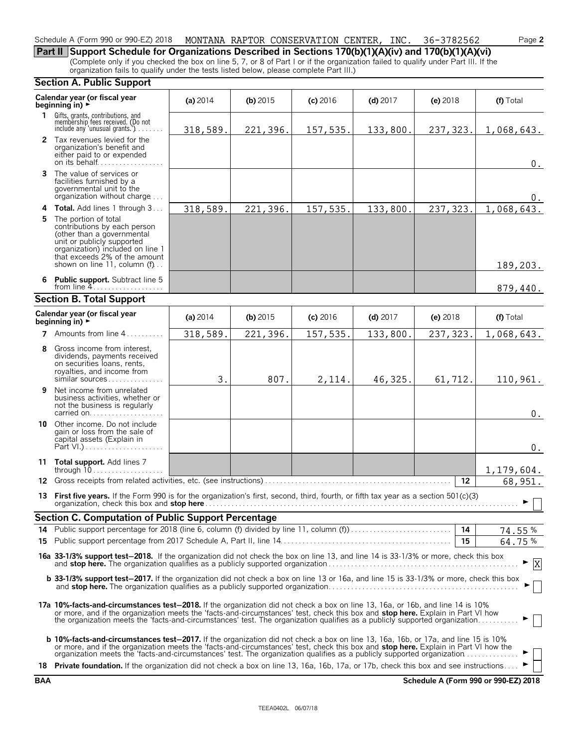#### Schedule A (Form 990 or 990-EZ) 2018 MONTANA RAPTOR CONSERVATION CENTER, INC. 36-3782562 Page **2**

**Part II Support Schedule for Organizations Described in Sections 170(b)(1)(A)(iv) and 170(b)(1)(A)(vi)** (Complete only if you checked the box on line 5, 7, or 8 of Part I or if the organization failed to qualify under Part III. If the organization fails to qualify under the tests listed below, please complete Part III.)

#### **Section A. Public Support**

|    | Calendar year (or fiscal year<br>beginning in) ►                                                                                                                                                                                                                                                                                                                                                                 | (a) $2014$ | $(b)$ 2015 | $(c)$ 2016           | $(d)$ 2017 | $(e)$ 2018 | (f) Total  |
|----|------------------------------------------------------------------------------------------------------------------------------------------------------------------------------------------------------------------------------------------------------------------------------------------------------------------------------------------------------------------------------------------------------------------|------------|------------|----------------------|------------|------------|------------|
|    | 1 Gifts, grants, contributions, and<br>membership fees received. (Do not<br>include any 'unusual grants.')                                                                                                                                                                                                                                                                                                       | 318,589.   | 221,396.   | 157,535.             | 133,800.   | 237,323.   | 1,068,643. |
|    | 2 Tax revenues levied for the<br>organization's benefit and<br>either paid to or expended<br>on its behalf                                                                                                                                                                                                                                                                                                       |            |            |                      |            |            | $0$ .      |
|    | 3 The value of services or<br>facilities furnished by a<br>governmental unit to the<br>organization without charge                                                                                                                                                                                                                                                                                               |            |            |                      |            |            | 0.         |
|    | <b>4 Total.</b> Add lines 1 through 3                                                                                                                                                                                                                                                                                                                                                                            | 318,589.   | 221,396.   | 157,535.<br>133,800. |            | 237, 323.  | 1,068,643. |
| 5. | The portion of total<br>contributions by each person<br>(other than a governmental<br>unit or publicly supported<br>organization) included on line 1<br>that exceeds 2% of the amount<br>shown on line 11, column (f)                                                                                                                                                                                            |            |            |                      |            |            | 189,203.   |
|    | 6 Public support. Subtract line 5<br>from line $4$                                                                                                                                                                                                                                                                                                                                                               |            |            |                      |            |            | 879,440.   |
|    | <b>Section B. Total Support</b>                                                                                                                                                                                                                                                                                                                                                                                  |            |            |                      |            |            |            |
|    | Calendar year (or fiscal year<br>beginning in) $\rightarrow$                                                                                                                                                                                                                                                                                                                                                     | (a) 2014   | (b) $2015$ | $(c)$ 2016           | (d) $2017$ | $(e)$ 2018 | (f) Total  |
|    | 7 Amounts from line 4                                                                                                                                                                                                                                                                                                                                                                                            | 318,589.   | 221,396.   | 157,535.             | 133,800.   | 237,323.   | 1,068,643. |
| 8  | Gross income from interest,<br>dividends, payments received<br>on securities loans, rents,<br>royalties, and income from<br>similar sources                                                                                                                                                                                                                                                                      | 3.         | 807.       | 2,114.               | 46,325.    | 61,712.    | 110,961.   |
| 9  | Net income from unrelated<br>business activities, whether or<br>not the business is regularly<br>carried on                                                                                                                                                                                                                                                                                                      |            |            |                      |            |            | $0$ .      |
|    | 10 Other income. Do not include<br>gain or loss from the sale of<br>capital assets (Explain in                                                                                                                                                                                                                                                                                                                   |            |            |                      |            |            | $0$ .      |
|    | 11 Total support. Add lines 7                                                                                                                                                                                                                                                                                                                                                                                    |            |            |                      |            |            | 1,179,604. |
|    |                                                                                                                                                                                                                                                                                                                                                                                                                  |            |            |                      |            | $12 \,$    | 68,951.    |
|    | 13 First five years. If the Form 990 is for the organization's first, second, third, fourth, or fifth tax year as a section 501(c)(3)                                                                                                                                                                                                                                                                            |            |            |                      |            |            | ▶          |
|    | <b>Section C. Computation of Public Support Percentage</b>                                                                                                                                                                                                                                                                                                                                                       |            |            |                      |            |            |            |
|    |                                                                                                                                                                                                                                                                                                                                                                                                                  |            |            |                      |            | 14         | 74.55%     |
|    |                                                                                                                                                                                                                                                                                                                                                                                                                  |            |            |                      |            | 15         | 64.75%     |
|    | 16a 33-1/3% support test-2018. If the organization did not check the box on line 13, and line 14 is 33-1/3% or more, check this box                                                                                                                                                                                                                                                                              |            |            |                      |            |            | X          |
|    | b 33-1/3% support test-2017. If the organization did not check a box on line 13 or 16a, and line 15 is 33-1/3% or more, check this box                                                                                                                                                                                                                                                                           |            |            |                      |            |            |            |
|    | 17a 10%-facts-and-circumstances test-2018. If the organization did not check a box on line 13, 16a, or 16b, and line 14 is 10%<br>or more, and if the organization meets the 'facts-and-circumstances' test, check this box and <b>stop here.</b> Explain in Part VI how<br>the organization meets the 'facts-and-circumstances' test. The organization qualifies as a publicly supported organization           |            |            |                      |            |            |            |
|    | <b>b 10%-facts-and-circumstances test-2017.</b> If the organization did not check a box on line 13, 16a, 16b, or 17a, and line 15 is 10%<br>or more, and if the organization meets the 'facts-and-circumstances' test, check this box and <b>stop here.</b> Explain in Part VI how the<br>organization meets the 'facts-and-circumstances' test. The organization qualifies as a publicly supported organization |            |            |                      |            |            |            |
|    | 18 Private foundation. If the organization did not check a box on line 13, 16a, 16b, 17a, or 17b, check this box and see instructions                                                                                                                                                                                                                                                                            |            |            |                      |            |            |            |

**BAA Schedule A (Form 990 or 990-EZ) 2018**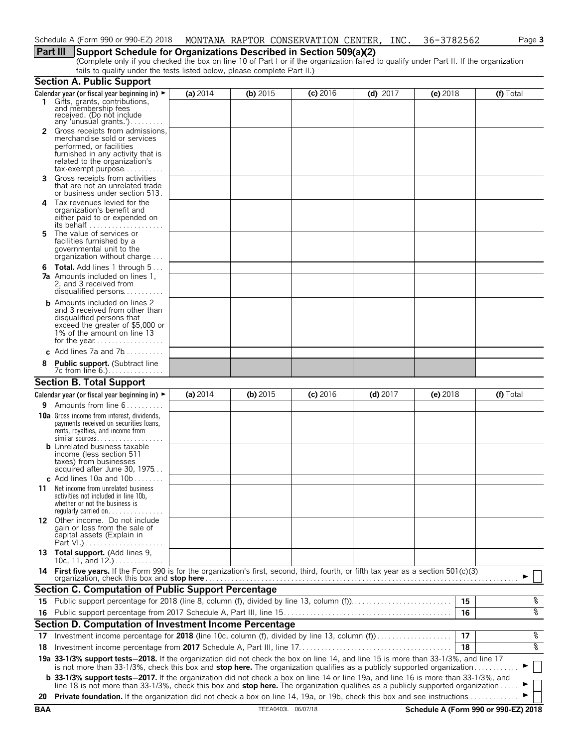# **Part III Support Schedule for Organizations Described in Section 509(a)(2)**

(Complete only if you checked the box on line 10 of Part I or if the organization failed to qualify under Part II. If the organization fails to qualify under the tests listed below, please complete Part II.)

|     | <b>Section A. Public Support</b>                                                                                                                                                                                                                                              |            |            |            |            |            |           |
|-----|-------------------------------------------------------------------------------------------------------------------------------------------------------------------------------------------------------------------------------------------------------------------------------|------------|------------|------------|------------|------------|-----------|
|     | Calendar year (or fiscal year beginning in) $\blacktriangleright$                                                                                                                                                                                                             | (a) $2014$ | (b) 2015   | $(c)$ 2016 | $(d)$ 2017 | $(e)$ 2018 | (f) Total |
|     | 1 Gifts, grants, contributions, and membership fees<br>received. (Do not include                                                                                                                                                                                              |            |            |            |            |            |           |
|     | any 'unusual grants.')<br>2 Gross receipts from admissions,<br>merchandise sold or services<br>performed, or facilities                                                                                                                                                       |            |            |            |            |            |           |
|     | furnished in any activity that is<br>related to the organization's<br>$tax\text{-}exempt$ purpose                                                                                                                                                                             |            |            |            |            |            |           |
| 3.  | Gross receipts from activities<br>that are not an unrelated trade<br>or business under section 513.                                                                                                                                                                           |            |            |            |            |            |           |
| 4   | Tax revenues levied for the<br>organization's benefit and<br>either paid to or expended on<br>its behalf                                                                                                                                                                      |            |            |            |            |            |           |
| 5.  | The value of services or<br>facilities furnished by a<br>governmental unit to the<br>organization without charge                                                                                                                                                              |            |            |            |            |            |           |
|     | <b>6 Total.</b> Add lines 1 through 5<br><b>7a</b> Amounts included on lines 1,<br>2, and 3 received from<br>disqualified persons                                                                                                                                             |            |            |            |            |            |           |
|     | <b>b</b> Amounts included on lines 2<br>and 3 received from other than<br>disqualified persons that<br>exceed the greater of \$5,000 or<br>1% of the amount on line 13                                                                                                        |            |            |            |            |            |           |
|     | c Add lines 7a and 7b                                                                                                                                                                                                                                                         |            |            |            |            |            |           |
|     | <b>Public support.</b> (Subtract line                                                                                                                                                                                                                                         |            |            |            |            |            |           |
|     | <b>Section B. Total Support</b>                                                                                                                                                                                                                                               |            |            |            |            |            |           |
|     | Calendar year (or fiscal year beginning in) $\blacktriangleright$                                                                                                                                                                                                             | (a) $2014$ | (b) $2015$ | $(c)$ 2016 | $(d)$ 2017 | $(e)$ 2018 | (f) Total |
|     | <b>9</b> Amounts from line $6 \ldots \ldots$                                                                                                                                                                                                                                  |            |            |            |            |            |           |
|     | <b>10a</b> Gross income from interest, dividends,<br>payments received on securities loans,<br>rents, royalties, and income from<br>$similar$ sources                                                                                                                         |            |            |            |            |            |           |
|     | <b>b</b> Unrelated business taxable<br>income (less section 511<br>taxes) from businesses<br>acquired after June 30, 1975                                                                                                                                                     |            |            |            |            |            |           |
|     | c Add lines 10a and $10b$                                                                                                                                                                                                                                                     |            |            |            |            |            |           |
| 11  | Net income from unrelated business<br>activities not included in line 10b,<br>whether or not the business is                                                                                                                                                                  |            |            |            |            |            |           |
|     | 12 Other income. Do not include<br>gain or loss from the sale of<br>capital assets (Explain in                                                                                                                                                                                |            |            |            |            |            |           |
|     | 13 Total support. (Add lines 9,<br>10c, 11, and $12.$ )                                                                                                                                                                                                                       |            |            |            |            |            |           |
|     | 14 First five years. If the Form 990 is for the organization's first, second, third, fourth, or fifth tax year as a section 501(c)(3)                                                                                                                                         |            |            |            |            |            |           |
|     | <b>Section C. Computation of Public Support Percentage</b>                                                                                                                                                                                                                    |            |            |            |            |            |           |
|     | 15 Public support percentage for 2018 (line 8, column (f), divided by line 13, column (f)                                                                                                                                                                                     |            |            |            |            | 15         | န့        |
|     |                                                                                                                                                                                                                                                                               |            |            |            |            | 16         | %         |
|     | Section D. Computation of Investment Income Percentage                                                                                                                                                                                                                        |            |            |            |            |            |           |
| 17  | Investment income percentage for 2018 (line 10c, column (f), divided by line 13, column (f)                                                                                                                                                                                   |            |            |            |            | 17         | %         |
| 18. |                                                                                                                                                                                                                                                                               |            |            |            |            | 18         | နွ        |
|     | 19a 33-1/3% support tests-2018. If the organization did not check the box on line 14, and line 15 is more than 33-1/3%, and line 17<br>is not more than 33-1/3%, check this box and stop here. The organization qualifies as a publicly supported organization                |            |            |            |            |            |           |
|     | <b>b</b> 33-1/3% support tests-2017. If the organization did not check a box on line 14 or line 19a, and line 16 is more than 33-1/3%, and<br>line 18 is not more than 33-1/3%, check this box and stop here. The organization qualifies as a publicly supported organization |            |            |            |            |            |           |
|     | 20 Private foundation. If the organization did not check a box on line 14, 19a, or 19b, check this box and see instructions                                                                                                                                                   |            |            |            |            |            |           |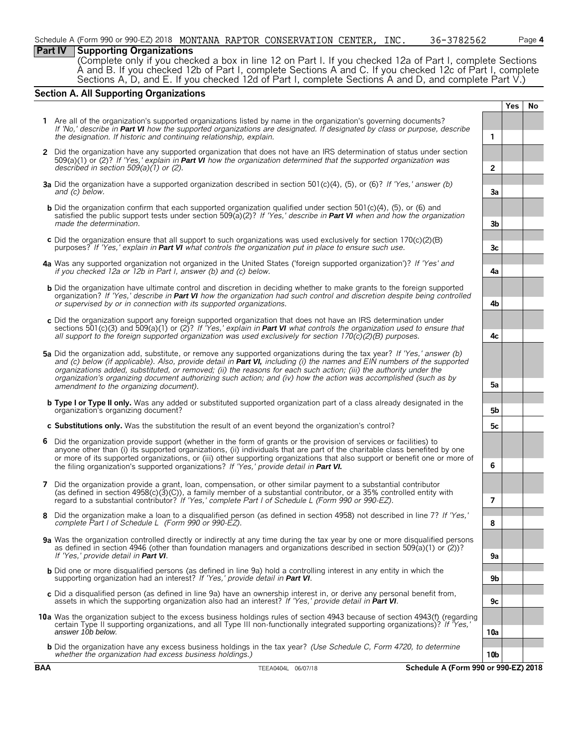## **Part IV Supporting Organizations**

(Complete only if you checked a box in line 12 on Part I. If you checked 12a of Part I, complete Sections A and B. If you checked 12b of Part I, complete Sections A and C. If you checked 12c of Part I, complete Sections A, D, and E. If you checked 12d of Part I, complete Sections A and D, and complete Part V.)

# **Section A. All Supporting Organizations**

|   |                                                                                                                                                                                                                                                                                                                                                                                                                                                                                                                                          |                 | Yes | No |  |  |  |  |
|---|------------------------------------------------------------------------------------------------------------------------------------------------------------------------------------------------------------------------------------------------------------------------------------------------------------------------------------------------------------------------------------------------------------------------------------------------------------------------------------------------------------------------------------------|-----------------|-----|----|--|--|--|--|
|   | 1 Are all of the organization's supported organizations listed by name in the organization's governing documents?<br>If 'No,' describe in Part VI how the supported organizations are designated. If designated by class or purpose, describe<br>the designation. If historic and continuing relationship, explain.                                                                                                                                                                                                                      | 1               |     |    |  |  |  |  |
|   | 2 Did the organization have any supported organization that does not have an IRS determination of status under section                                                                                                                                                                                                                                                                                                                                                                                                                   |                 |     |    |  |  |  |  |
|   | 509(a)(1) or (2)? If 'Yes,' explain in <b>Part VI</b> how the organization determined that the supported organization was<br>described in section $509(a)(1)$ or (2).                                                                                                                                                                                                                                                                                                                                                                    | $\overline{2}$  |     |    |  |  |  |  |
|   | <b>3a</b> Did the organization have a supported organization described in section 501(c)(4), (5), or (6)? If 'Yes,' answer (b)<br>and (c) below.                                                                                                                                                                                                                                                                                                                                                                                         | За              |     |    |  |  |  |  |
|   | <b>b</b> Did the organization confirm that each supported organization qualified under section 501(c)(4), (5), or (6) and<br>satisfied the public support tests under section 509(a)(2)? If 'Yes,' describe in <b>Part VI</b> when and how the organization<br>made the determination.                                                                                                                                                                                                                                                   | 3b              |     |    |  |  |  |  |
|   | c Did the organization ensure that all support to such organizations was used exclusively for section $170(c)(2)(B)$<br>purposes? If 'Yes,' explain in Part VI what controls the organization put in place to ensure such use.                                                                                                                                                                                                                                                                                                           | 3c              |     |    |  |  |  |  |
|   | 4a Was any supported organization not organized in the United States ('foreign supported organization')? If 'Yes' and<br>if you checked 12a or 12b in Part I, answer (b) and (c) below.                                                                                                                                                                                                                                                                                                                                                  | 4a              |     |    |  |  |  |  |
|   | <b>b</b> Did the organization have ultimate control and discretion in deciding whether to make grants to the foreign supported<br>organization? If 'Yes,' describe in Part VI how the organization had such control and discretion despite being controlled<br>or supervised by or in connection with its supported organizations.                                                                                                                                                                                                       | 4b              |     |    |  |  |  |  |
|   | c Did the organization support any foreign supported organization that does not have an IRS determination under<br>sections 501(c)(3) and 509(a)(1) or (2)? If 'Yes,' explain in <b>Part VI</b> what controls the organization used to ensure that<br>all support to the foreign supported organization was used exclusively for section $170(c)(2)(B)$ purposes.                                                                                                                                                                        | 4с              |     |    |  |  |  |  |
|   | 5a Did the organization add, substitute, or remove any supported organizations during the tax year? If 'Yes,' answer (b)<br>and (c) below (if applicable). Also, provide detail in Part VI, including (i) the names and EIN numbers of the supported<br>organizations added, substituted, or removed; (ii) the reasons for each such action; (iii) the authority under the<br>organization's organizing document authorizing such action; and (iv) how the action was accomplished (such as by<br>amendment to the organizing document). |                 |     |    |  |  |  |  |
|   | <b>b</b> Type I or Type II only. Was any added or substituted supported organization part of a class already designated in the                                                                                                                                                                                                                                                                                                                                                                                                           | 5а              |     |    |  |  |  |  |
|   | organization's organizing document?                                                                                                                                                                                                                                                                                                                                                                                                                                                                                                      | 5b              |     |    |  |  |  |  |
|   | c Substitutions only. Was the substitution the result of an event beyond the organization's control?                                                                                                                                                                                                                                                                                                                                                                                                                                     | 5c              |     |    |  |  |  |  |
| 6 | Did the organization provide support (whether in the form of grants or the provision of services or facilities) to<br>anyone other than (i) its supported organizations, (ii) individuals that are part of the charitable class benefited by one<br>or more of its supported organizations, or (iii) other supporting organizations that also support or benefit one or more of<br>the filing organization's supported organizations? If 'Yes,' provide detail in Part VI.                                                               | 6               |     |    |  |  |  |  |
|   | 7 Did the organization provide a grant, loan, compensation, or other similar payment to a substantial contributor<br>(as defined in section $4958(c)(3)(C)$ ), a family member of a substantial contributor, or a 35% controlled entity with<br>regard to a substantial contributor? If 'Yes,' complete Part I of Schedule L (Form 990 or 990-EZ).                                                                                                                                                                                       | 7               |     |    |  |  |  |  |
| 8 | Did the organization make a loan to a disqualified person (as defined in section 4958) not described in line 7? If 'Yes,'<br>complete Part I of Schedule L (Form 990 or 990-EZ).                                                                                                                                                                                                                                                                                                                                                         | 8               |     |    |  |  |  |  |
|   | 9a Was the organization controlled directly or indirectly at any time during the tax year by one or more disqualified persons<br>as defined in section 4946 (other than foundation managers and organizations described in section 509(a)(1) or (2))?                                                                                                                                                                                                                                                                                    |                 |     |    |  |  |  |  |
|   | If 'Yes,' provide detail in Part VI.                                                                                                                                                                                                                                                                                                                                                                                                                                                                                                     | 9a              |     |    |  |  |  |  |
|   | <b>b</b> Did one or more disqualified persons (as defined in line 9a) hold a controlling interest in any entity in which the<br>supporting organization had an interest? If 'Yes,' provide detail in Part VI.                                                                                                                                                                                                                                                                                                                            | 9b              |     |    |  |  |  |  |
|   | c Did a disqualified person (as defined in line 9a) have an ownership interest in, or derive any personal benefit from,<br>assets in which the supporting organization also had an interest? If 'Yes,' provide detail in Part VI.                                                                                                                                                                                                                                                                                                        | 9c              |     |    |  |  |  |  |
|   | 10a Was the organization subject to the excess business holdings rules of section 4943 because of section 4943(f) (regarding<br>certain Type II supporting organizations, and all Type III non-functionally integrated supporting organizations)? If 'Yes,'<br>answer 10b below.                                                                                                                                                                                                                                                         | 10a             |     |    |  |  |  |  |
|   | <b>b</b> Did the organization have any excess business holdings in the tax year? (Use Schedule C, Form 4720, to determine<br>whether the organization had excess business holdings.)                                                                                                                                                                                                                                                                                                                                                     | 10 <sub>b</sub> |     |    |  |  |  |  |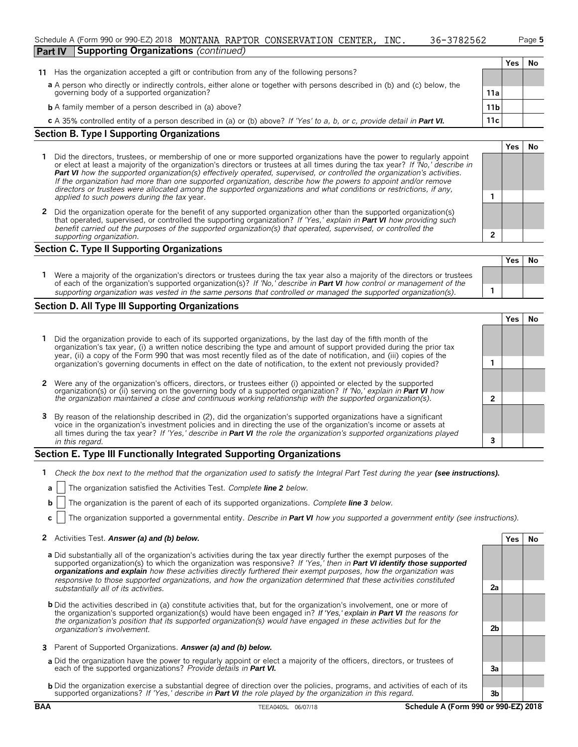|                                                                                                                                                                                 | Schedule A (Form 990 or 990-EZ) 2018 MONTANA RAPTOR CONSERVATION CENTER, |  |  |  |  | INC. | 36-3782562 |  |     | Page 5 |  |  |
|---------------------------------------------------------------------------------------------------------------------------------------------------------------------------------|--------------------------------------------------------------------------|--|--|--|--|------|------------|--|-----|--------|--|--|
| <b>Part IV</b><br><b>Supporting Organizations (continued)</b>                                                                                                                   |                                                                          |  |  |  |  |      |            |  |     |        |  |  |
|                                                                                                                                                                                 |                                                                          |  |  |  |  |      |            |  | Yes |        |  |  |
| Has the organization accepted a gift or contribution from any of the following persons?<br>11                                                                                   |                                                                          |  |  |  |  |      |            |  |     |        |  |  |
|                                                                                                                                                                                 |                                                                          |  |  |  |  |      |            |  |     |        |  |  |
| a A person who directly or indirectly controls, either alone or together with persons described in (b) and (c) below, the<br>governing body of a supported organization?<br>11a |                                                                          |  |  |  |  |      |            |  |     |        |  |  |
|                                                                                                                                                                                 |                                                                          |  |  |  |  |      |            |  |     |        |  |  |

| <b>b</b> A family member of a person described in (a) above? | 11 <sub>b</sub> |  |
|--------------------------------------------------------------|-----------------|--|
|--------------------------------------------------------------|-----------------|--|

**c** A 35% controlled entity of a person described in (a) or (b) above? *If 'Yes' to a, b, or c, provide detail in Part VI.* 11c

#### **Section B. Type I Supporting Organizations**

- **1** Did the directors, trustees, or membership of one or more supported organizations have the power to regularly appoint or elect at least a majority of the organization's directors or trustees at all times during the tax year? *If 'No,' describe in Part VI how the supported organization(s) effectively operated, supervised, or controlled the organization's activities. If the organization had more than one supported organization, describe how the powers to appoint and/or remove directors or trustees were allocated among the supported organizations and what conditions or restrictions, if any, applied to such powers during the tax* year. **1**
- **2** Did the organization operate for the benefit of any supported organization other than the supported organization(s) that operated, supervised, or controlled the supporting organization? *If 'Yes,' explain in Part VI how providing such benefit carried out the purposes of the supported organization(s) that operated, supervised, or controlled the supporting organization.* **2**

#### **Section C. Type II Supporting Organizations**

|                                                                                                                                                                                                                                                              | TesINO. |  |
|--------------------------------------------------------------------------------------------------------------------------------------------------------------------------------------------------------------------------------------------------------------|---------|--|
| Were a majority of the organization's directors or trustees during the tax year also a majority of the directors or trustees<br>of each of the organization's supported organization(s)? If 'No, describe in <b>Part VI</b> how control or management of the |         |  |
| supporting organization was vested in the same persons that controlled or managed the supported organization(s).                                                                                                                                             |         |  |

#### **Section D. All Type III Supporting Organizations**

|                                                                                                                                                                                                                                                                                                                                                                             |  | res |  |  |  |  |
|-----------------------------------------------------------------------------------------------------------------------------------------------------------------------------------------------------------------------------------------------------------------------------------------------------------------------------------------------------------------------------|--|-----|--|--|--|--|
| 1 Did the organization provide to each of its supported organizations, by the last day of the fifth month of the<br>organization's tax year, (i) a written notice describing the type and amount of support provided during the prior tax<br>year, (ii) a copy of the Form 990 that was most recently filed as of the date of notification, and (iii) copies of the         |  |     |  |  |  |  |
| organization's governing documents in effect on the date of notification, to the extent not previously provided?                                                                                                                                                                                                                                                            |  |     |  |  |  |  |
| 2 Were any of the organization's officers, directors, or trustees either (i) appointed or elected by the supported<br>organization(s) or (ii) serving on the governing body of a supported organization? If 'No,' explain in Part VI how                                                                                                                                    |  |     |  |  |  |  |
| the organization maintained a close and continuous working relationship with the supported organization(s).                                                                                                                                                                                                                                                                 |  |     |  |  |  |  |
| 3 By reason of the relationship described in (2), did the organization's supported organizations have a significant<br>voice in the organization's investment policies and in directing the use of the organization's income or assets at<br>all times during the tax year? If 'Yes,' describe in <b>Part VI</b> the role the organization's supported organizations played |  |     |  |  |  |  |
| in this regard.                                                                                                                                                                                                                                                                                                                                                             |  |     |  |  |  |  |

## **Section E. Type III Functionally Integrated Supporting Organizations**

- **1** *Check the box next to the method that the organization used to satisfy the Integral Part Test during the year (see instructions).*
- **a** The organization satisfied the Activities Test. *Complete line 2 below.*
- **b** The organization is the parent of each of its supported organizations. *Complete line 3 below.*
- **c** The organization supported a governmental entity. *Describe in Part VI how you supported a government entity (see instructions).*

#### **2** Activities Test. Answer (a) and (b) below. **Yes No**

- **a** Did substantially all of the organization's activities during the tax year directly further the exempt purposes of the supported organization(s) to which the organization was responsive? *If 'Yes,' then in Part VI identify those supported organizations and explain how these activities directly furthered their exempt purposes, how the organization was responsive to those supported organizations, and how the organization determined that these activities constituted substantially all of its activities.* **2a**
- **b** Did the activities described in (a) constitute activities that, but for the organization's involvement, one or more of the organization's supported organization(s) would have been engaged in? *If 'Yes,' explain in Part VI the reasons for the organization's position that its supported organization(s) would have engaged in these activities but for the organization's involvement.* **2b**
- **3** Parent of Supported Organizations. *Answer (a) and (b) below.*
- **a** Did the organization have the power to regularly appoint or elect a majority of the officers, directors, or trustees of each of the supported organizations? *Provide details in Part VI.* **3a**
- **b** Did the organization exercise a substantial degree of direction over the policies, programs, and activities of each of its supported organizations? *If 'Yes,' describe in Part VI the role played by the organization in this regard.* **3b**

**Yes No**

**Yes No**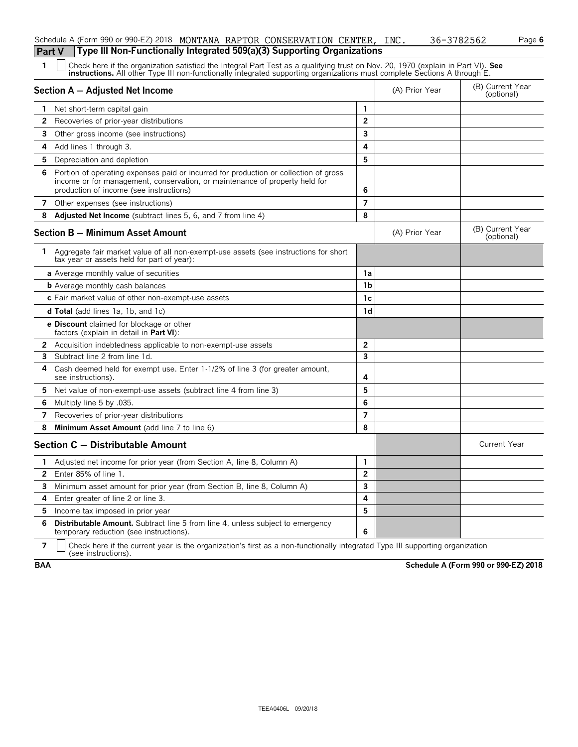|    | Type III Non-Functionally Integrated 509(a)(3) Supporting Organizations<br><b>Part V</b>                                                                                                                                                                      |                |                |                                |
|----|---------------------------------------------------------------------------------------------------------------------------------------------------------------------------------------------------------------------------------------------------------------|----------------|----------------|--------------------------------|
| 1  | Check here if the organization satisfied the Integral Part Test as a qualifying trust on Nov. 20, 1970 (explain in Part VI). See<br>instructions. All other Type III non-functionally integrated supporting organizations must complete Sections A through E. |                |                |                                |
|    | Section A - Adjusted Net Income                                                                                                                                                                                                                               |                | (A) Prior Year | (B) Current Year<br>(optional) |
| 1. | Net short-term capital gain                                                                                                                                                                                                                                   | 1              |                |                                |
| 2  | Recoveries of prior-year distributions                                                                                                                                                                                                                        | $\overline{2}$ |                |                                |
| 3. | Other gross income (see instructions)                                                                                                                                                                                                                         | 3              |                |                                |
| 4  | Add lines 1 through 3.                                                                                                                                                                                                                                        | 4              |                |                                |
| 5. | Depreciation and depletion                                                                                                                                                                                                                                    | 5              |                |                                |
| 6  | Portion of operating expenses paid or incurred for production or collection of gross<br>income or for management, conservation, or maintenance of property held for<br>production of income (see instructions)                                                | 6              |                |                                |
|    | 7 Other expenses (see instructions)                                                                                                                                                                                                                           | $\overline{ }$ |                |                                |
| 8  | Adjusted Net Income (subtract lines 5, 6, and 7 from line 4)                                                                                                                                                                                                  | 8              |                |                                |
|    | <b>Section B - Minimum Asset Amount</b>                                                                                                                                                                                                                       |                | (A) Prior Year | (B) Current Year<br>(optional) |
| 1. | Aggregate fair market value of all non-exempt-use assets (see instructions for short<br>tax year or assets held for part of year):                                                                                                                            |                |                |                                |
|    | a Average monthly value of securities                                                                                                                                                                                                                         | 1a             |                |                                |
|    | <b>b</b> Average monthly cash balances                                                                                                                                                                                                                        | 1 <sub>b</sub> |                |                                |
|    | c Fair market value of other non-exempt-use assets                                                                                                                                                                                                            | 1c             |                |                                |
|    | <b>d Total</b> (add lines 1a, 1b, and 1c)                                                                                                                                                                                                                     | 1d             |                |                                |
|    | <b>e Discount</b> claimed for blockage or other<br>factors (explain in detail in Part VI):                                                                                                                                                                    |                |                |                                |
|    | 2 Acquisition indebtedness applicable to non-exempt-use assets                                                                                                                                                                                                | $\overline{2}$ |                |                                |
| 3  | Subtract line 2 from line 1d.                                                                                                                                                                                                                                 | 3              |                |                                |
| 4  | Cash deemed held for exempt use. Enter 1-1/2% of line 3 (for greater amount,<br>see instructions).                                                                                                                                                            | 4              |                |                                |
| 5. | Net value of non-exempt-use assets (subtract line 4 from line 3)                                                                                                                                                                                              | 5              |                |                                |
| 6  | Multiply line 5 by .035.                                                                                                                                                                                                                                      | 6              |                |                                |
| 7  | Recoveries of prior-year distributions                                                                                                                                                                                                                        | $\overline{7}$ |                |                                |
| 8  | Minimum Asset Amount (add line 7 to line 6)                                                                                                                                                                                                                   | 8              |                |                                |
|    | Section C - Distributable Amount                                                                                                                                                                                                                              |                |                | <b>Current Year</b>            |
|    | 1 Adjusted net income for prior year (from Section A, line 8, Column A)                                                                                                                                                                                       | $\mathbf{1}$   |                |                                |
| 2  | Enter 85% of line 1.                                                                                                                                                                                                                                          | 2              |                |                                |
| 3  | Minimum asset amount for prior year (from Section B, line 8, Column A)                                                                                                                                                                                        | 3              |                |                                |
| 4  | Enter greater of line 2 or line 3.                                                                                                                                                                                                                            | 4              |                |                                |
| 5  | Income tax imposed in prior year                                                                                                                                                                                                                              | 5              |                |                                |
| 6  | Distributable Amount. Subtract line 5 from line 4, unless subject to emergency<br>temporary reduction (see instructions).                                                                                                                                     | 6              |                |                                |
|    |                                                                                                                                                                                                                                                               |                |                |                                |

Schedule A (Form 990 or 990-EZ) 2018 MONTANA RAPTOR CONSERVATION CENTER, INC. 36-3782562 Page **6** 

**7**  $\parallel$  Check here if the current year is the organization's first as a non-functionally integrated Type III supporting organization (see instructions).

**BAA Schedule A (Form 990 or 990-EZ) 2018**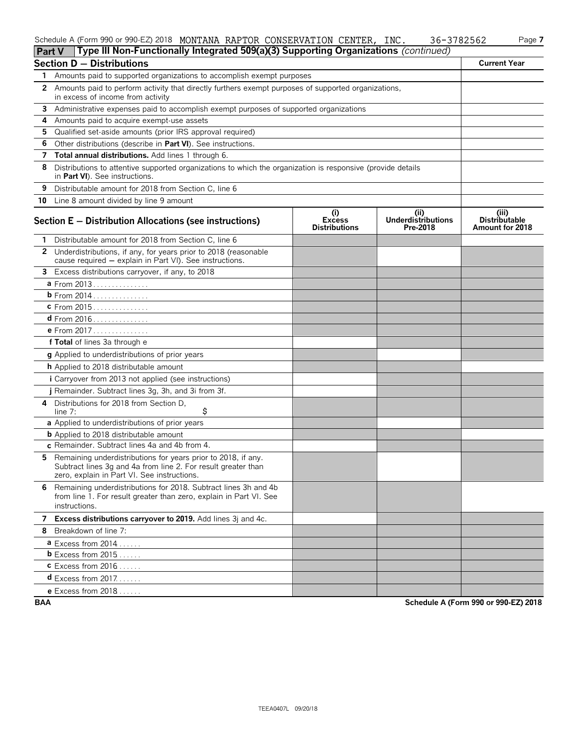### Schedule A (Form 990 or 990-EZ) 2018 MONTANA RAPTOR CONSERVATION CENTER, INC. 36-3782562 Page **7**

| <b>Part V</b> | Type III Non-Functionally Integrated 509(a)(3) Supporting Organizations (continued)                                                                                           |                                              |                                               |                                                         |
|---------------|-------------------------------------------------------------------------------------------------------------------------------------------------------------------------------|----------------------------------------------|-----------------------------------------------|---------------------------------------------------------|
|               | <b>Section D - Distributions</b>                                                                                                                                              |                                              |                                               | <b>Current Year</b>                                     |
| 1.            | Amounts paid to supported organizations to accomplish exempt purposes                                                                                                         |                                              |                                               |                                                         |
|               | 2 Amounts paid to perform activity that directly furthers exempt purposes of supported organizations,<br>in excess of income from activity                                    |                                              |                                               |                                                         |
| 3             | Administrative expenses paid to accomplish exempt purposes of supported organizations                                                                                         |                                              |                                               |                                                         |
| 4             | Amounts paid to acquire exempt-use assets                                                                                                                                     |                                              |                                               |                                                         |
| 5.            | Qualified set-aside amounts (prior IRS approval required)                                                                                                                     |                                              |                                               |                                                         |
| 6             | Other distributions (describe in Part VI). See instructions.                                                                                                                  |                                              |                                               |                                                         |
| 7             | Total annual distributions. Add lines 1 through 6.                                                                                                                            |                                              |                                               |                                                         |
| 8             | Distributions to attentive supported organizations to which the organization is responsive (provide details<br>in Part VI). See instructions.                                 |                                              |                                               |                                                         |
| 9             | Distributable amount for 2018 from Section C, line 6                                                                                                                          |                                              |                                               |                                                         |
| 10            | Line 8 amount divided by line 9 amount                                                                                                                                        |                                              |                                               |                                                         |
|               | Section E - Distribution Allocations (see instructions)                                                                                                                       | (i)<br><b>Excess</b><br><b>Distributions</b> | (ii)<br><b>Underdistributions</b><br>Pre-2018 | (iii)<br><b>Distributable</b><br><b>Amount for 2018</b> |
| 1.            | Distributable amount for 2018 from Section C, line 6                                                                                                                          |                                              |                                               |                                                         |
| $\mathbf{2}$  | Underdistributions, if any, for years prior to 2018 (reasonable<br>cause required - explain in Part VI). See instructions.                                                    |                                              |                                               |                                                         |
|               | 3 Excess distributions carryover, if any, to 2018                                                                                                                             |                                              |                                               |                                                         |
|               | a From 2013                                                                                                                                                                   |                                              |                                               |                                                         |
|               | <b>b</b> From 2014                                                                                                                                                            |                                              |                                               |                                                         |
|               | c From 2015                                                                                                                                                                   |                                              |                                               |                                                         |
|               |                                                                                                                                                                               |                                              |                                               |                                                         |
|               | <b>e</b> From 2017                                                                                                                                                            |                                              |                                               |                                                         |
|               | f Total of lines 3a through e                                                                                                                                                 |                                              |                                               |                                                         |
|               | <b>g</b> Applied to underdistributions of prior years                                                                                                                         |                                              |                                               |                                                         |
|               | <b>h</b> Applied to 2018 distributable amount                                                                                                                                 |                                              |                                               |                                                         |
|               | i Carryover from 2013 not applied (see instructions)                                                                                                                          |                                              |                                               |                                                         |
|               | j Remainder. Subtract lines 3g, 3h, and 3i from 3f.                                                                                                                           |                                              |                                               |                                                         |
|               | 4 Distributions for 2018 from Section D.<br>\$<br>line $7:$                                                                                                                   |                                              |                                               |                                                         |
|               | a Applied to underdistributions of prior years                                                                                                                                |                                              |                                               |                                                         |
|               | <b>b</b> Applied to 2018 distributable amount                                                                                                                                 |                                              |                                               |                                                         |
|               | c Remainder. Subtract lines 4a and 4b from 4.                                                                                                                                 |                                              |                                               |                                                         |
| 5.            | Remaining underdistributions for years prior to 2018, if any.<br>Subtract lines 3g and 4a from line 2. For result greater than<br>zero, explain in Part VI. See instructions. |                                              |                                               |                                                         |
| 6.            | Remaining underdistributions for 2018. Subtract lines 3h and 4b<br>from line 1. For result greater than zero, explain in Part VI. See<br>instructions.                        |                                              |                                               |                                                         |
|               | 7 Excess distributions carryover to 2019. Add lines 3j and 4c.                                                                                                                |                                              |                                               |                                                         |
|               | 8 Breakdown of line 7:                                                                                                                                                        |                                              |                                               |                                                         |
|               | $a$ Excess from 2014                                                                                                                                                          |                                              |                                               |                                                         |
|               | <b>b</b> Excess from $2015$ .                                                                                                                                                 |                                              |                                               |                                                         |
|               | $c$ Excess from 2016                                                                                                                                                          |                                              |                                               |                                                         |
|               | <b>d</b> Excess from $2017$                                                                                                                                                   |                                              |                                               |                                                         |
|               | <b>e</b> Excess from $2018$                                                                                                                                                   |                                              |                                               |                                                         |

**BAA Schedule A (Form 990 or 990-EZ) 2018**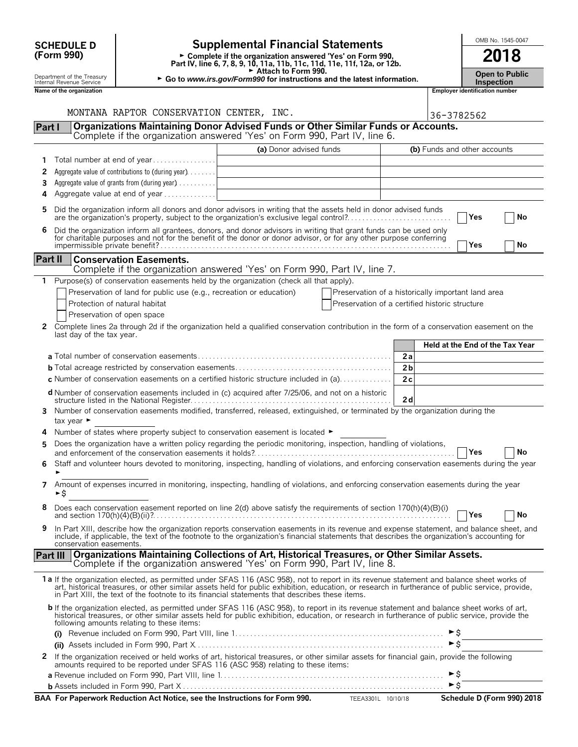| <b>SCHEDULE D</b>                                      |                                              |                                                                     | <b>Supplemental Financial Statements</b>                                                                                                                                                                                                                                                                                                                                                       |                                                                          |                      |                                 |                                       | OMB No. 1545-0047          |
|--------------------------------------------------------|----------------------------------------------|---------------------------------------------------------------------|------------------------------------------------------------------------------------------------------------------------------------------------------------------------------------------------------------------------------------------------------------------------------------------------------------------------------------------------------------------------------------------------|--------------------------------------------------------------------------|----------------------|---------------------------------|---------------------------------------|----------------------------|
| (Form 990)                                             |                                              |                                                                     | ► Complete if the organization answered 'Yes' on Form 990,<br>Part IV, line 6, 7, 8, 9, 10, 11a, 11b, 11c, 11d, 11e, 11f, 12a, or 12b.                                                                                                                                                                                                                                                         |                                                                          |                      |                                 | 2018                                  |                            |
| Department of the Treasury<br>Internal Revenue Service |                                              |                                                                     | Attach to Form 990.                                                                                                                                                                                                                                                                                                                                                                            | ► Go to www.irs.gov/Form990 for instructions and the latest information. |                      |                                 |                                       |                            |
|                                                        | Name of the organization                     |                                                                     |                                                                                                                                                                                                                                                                                                                                                                                                |                                                                          |                      |                                 | <b>Employer identification number</b> |                            |
|                                                        |                                              | MONTANA RAPTOR CONSERVATION CENTER, INC.                            |                                                                                                                                                                                                                                                                                                                                                                                                |                                                                          |                      | 36-3782562                      |                                       |                            |
| Part I                                                 |                                              |                                                                     | Organizations Maintaining Donor Advised Funds or Other Similar Funds or Accounts.<br>Complete if the organization answered 'Yes' on Form 990, Part IV, line 6.                                                                                                                                                                                                                                 |                                                                          |                      |                                 |                                       |                            |
|                                                        |                                              |                                                                     | (a) Donor advised funds                                                                                                                                                                                                                                                                                                                                                                        |                                                                          |                      | (b) Funds and other accounts    |                                       |                            |
|                                                        |                                              | Total number at end of year                                         |                                                                                                                                                                                                                                                                                                                                                                                                |                                                                          |                      |                                 |                                       |                            |
| 2                                                      |                                              | Aggregate value of contributions to (during year).                  |                                                                                                                                                                                                                                                                                                                                                                                                |                                                                          |                      |                                 |                                       |                            |
| 3                                                      | Aggregate value of grants from (during year) |                                                                     |                                                                                                                                                                                                                                                                                                                                                                                                |                                                                          |                      |                                 |                                       |                            |
| 4                                                      |                                              | Aggregate value at end of year                                      |                                                                                                                                                                                                                                                                                                                                                                                                |                                                                          |                      |                                 |                                       |                            |
| 5                                                      |                                              |                                                                     | Did the organization inform all donors and donor advisors in writing that the assets held in donor advised funds<br>are the organization's property, subject to the organization's exclusive legal control?                                                                                                                                                                                    |                                                                          |                      |                                 | Yes                                   | No                         |
| 6                                                      |                                              |                                                                     | Did the organization inform all grantees, donors, and donor advisors in writing that grant funds can be used only<br>for charitable purposes and not for the benefit of the donor or donor advisor, or for any other purpose conferring                                                                                                                                                        |                                                                          |                      |                                 |                                       |                            |
|                                                        |                                              |                                                                     |                                                                                                                                                                                                                                                                                                                                                                                                |                                                                          |                      |                                 | l Yes                                 | No                         |
| <b>Part II</b>                                         |                                              | <b>Conservation Easements.</b>                                      |                                                                                                                                                                                                                                                                                                                                                                                                |                                                                          |                      |                                 |                                       |                            |
|                                                        |                                              |                                                                     | Complete if the organization answered 'Yes' on Form 990, Part IV, line 7.<br>Purpose(s) of conservation easements held by the organization (check all that apply).                                                                                                                                                                                                                             |                                                                          |                      |                                 |                                       |                            |
|                                                        |                                              | Preservation of land for public use (e.g., recreation or education) |                                                                                                                                                                                                                                                                                                                                                                                                | Preservation of a historically important land area                       |                      |                                 |                                       |                            |
|                                                        |                                              | Protection of natural habitat                                       |                                                                                                                                                                                                                                                                                                                                                                                                | Preservation of a certified historic structure                           |                      |                                 |                                       |                            |
|                                                        |                                              | Preservation of open space                                          |                                                                                                                                                                                                                                                                                                                                                                                                |                                                                          |                      |                                 |                                       |                            |
| 2                                                      | last day of the tax year.                    |                                                                     | Complete lines 2a through 2d if the organization held a qualified conservation contribution in the form of a conservation easement on the                                                                                                                                                                                                                                                      |                                                                          |                      |                                 |                                       |                            |
|                                                        |                                              |                                                                     |                                                                                                                                                                                                                                                                                                                                                                                                |                                                                          |                      | Held at the End of the Tax Year |                                       |                            |
|                                                        |                                              |                                                                     |                                                                                                                                                                                                                                                                                                                                                                                                |                                                                          | 2a                   |                                 |                                       |                            |
|                                                        |                                              |                                                                     | <b>c</b> Number of conservation easements on a certified historic structure included in (a)                                                                                                                                                                                                                                                                                                    |                                                                          | 2 <sub>b</sub><br>2c |                                 |                                       |                            |
|                                                        |                                              |                                                                     | <b>d</b> Number of conservation easements included in (c) acquired after 7/25/06, and not on a historic                                                                                                                                                                                                                                                                                        |                                                                          |                      |                                 |                                       |                            |
|                                                        |                                              |                                                                     |                                                                                                                                                                                                                                                                                                                                                                                                |                                                                          | 2d                   |                                 |                                       |                            |
| 3                                                      | tax year ►                                   |                                                                     | Number of conservation easements modified, transferred, released, extinguished, or terminated by the organization during the                                                                                                                                                                                                                                                                   |                                                                          |                      |                                 |                                       |                            |
| 4                                                      |                                              |                                                                     | Number of states where property subject to conservation easement is located $\blacktriangleright$                                                                                                                                                                                                                                                                                              |                                                                          |                      |                                 |                                       |                            |
| 5                                                      |                                              |                                                                     | Does the organization have a written policy regarding the periodic monitoring, inspection, handling of violations,                                                                                                                                                                                                                                                                             |                                                                          |                      |                                 | Yes                                   | No                         |
| 6                                                      |                                              |                                                                     | Staff and volunteer hours devoted to monitoring, inspecting, handling of violations, and enforcing conservation easements during the year                                                                                                                                                                                                                                                      |                                                                          |                      |                                 |                                       |                            |
| 7                                                      | ►\$                                          |                                                                     | Amount of expenses incurred in monitoring, inspecting, handling of violations, and enforcing conservation easements during the year                                                                                                                                                                                                                                                            |                                                                          |                      |                                 |                                       |                            |
| 8                                                      |                                              |                                                                     | Does each conservation easement reported on line 2(d) above satisfy the requirements of section 170(h)(4)(B)(i)                                                                                                                                                                                                                                                                                |                                                                          |                      |                                 | Yes                                   | No                         |
| 9                                                      |                                              |                                                                     | In Part XIII, describe how the organization reports conservation easements in its revenue and expense statement, and balance sheet, and                                                                                                                                                                                                                                                        |                                                                          |                      |                                 |                                       |                            |
|                                                        | conservation easements.                      |                                                                     | include, if applicable, the text of the footnote to the organization's financial statements that describes the organization's accounting for<br>Part III   Organizations Maintaining Collections of Art, Historical Treasures, or Other Similar Assets.                                                                                                                                        |                                                                          |                      |                                 |                                       |                            |
|                                                        |                                              |                                                                     | Complete if the organization answered 'Yes' on Form 990, Part IV, line 8.                                                                                                                                                                                                                                                                                                                      |                                                                          |                      |                                 |                                       |                            |
|                                                        |                                              |                                                                     | 1a If the organization elected, as permitted under SFAS 116 (ASC 958), not to report in its revenue statement and balance sheet works of<br>art, historical treasures, or other similar assets held for public exhibition, education, or research in furtherance of public service, provide,<br>in Part XIII, the text of the footnote to its financial statements that describes these items. |                                                                          |                      |                                 |                                       |                            |
|                                                        |                                              | following amounts relating to these items:                          | b If the organization elected, as permitted under SFAS 116 (ASC 958), to report in its revenue statement and balance sheet works of art,<br>historical treasures, or other similar assets held for public exhibition, education, or research in furtherance of public service, provide the                                                                                                     |                                                                          |                      |                                 |                                       |                            |
|                                                        |                                              |                                                                     |                                                                                                                                                                                                                                                                                                                                                                                                |                                                                          |                      |                                 |                                       |                            |
|                                                        |                                              |                                                                     |                                                                                                                                                                                                                                                                                                                                                                                                |                                                                          |                      | $\triangleright$ \$             |                                       |                            |
| 2                                                      |                                              |                                                                     | If the organization received or held works of art, historical treasures, or other similar assets for financial gain, provide the following<br>amounts required to be reported under SFAS 116 (ASC 958) relating to these items:                                                                                                                                                                |                                                                          |                      |                                 |                                       |                            |
|                                                        |                                              |                                                                     |                                                                                                                                                                                                                                                                                                                                                                                                |                                                                          |                      | $\triangleright$ \$             |                                       |                            |
|                                                        |                                              |                                                                     | BAA For Paperwork Reduction Act Notice, see the Instructions for Form 990. TEEA3301L 10/10/18                                                                                                                                                                                                                                                                                                  |                                                                          |                      |                                 |                                       | Schedule D (Form 990) 2018 |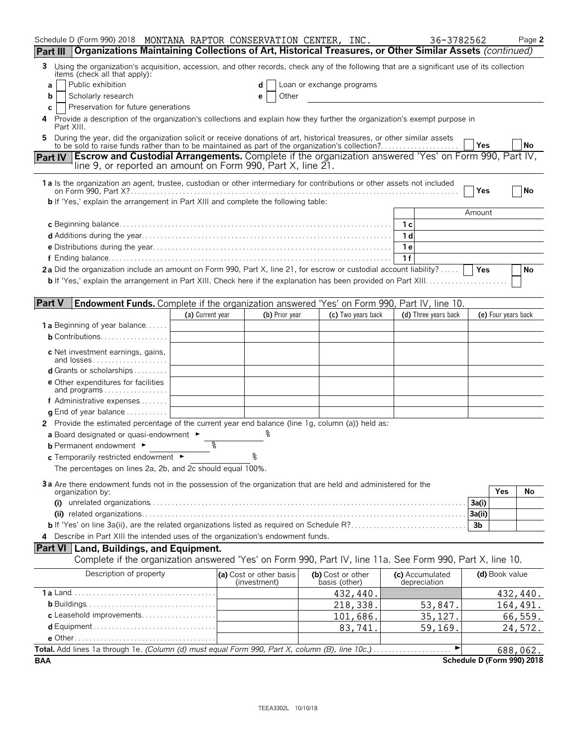| Schedule D (Form 990) 2018 MONTANA RAPTOR CONSERVATION CENTER, INC.                                                                                                                                                               |                  |                                         |                                    |                    | 36-3782562                      |                | Page 2                     |
|-----------------------------------------------------------------------------------------------------------------------------------------------------------------------------------------------------------------------------------|------------------|-----------------------------------------|------------------------------------|--------------------|---------------------------------|----------------|----------------------------|
| Organizations Maintaining Collections of Art, Historical Treasures, or Other Similar Assets (continued)<br>Part III                                                                                                               |                  |                                         |                                    |                    |                                 |                |                            |
| Using the organization's acquisition, accession, and other records, check any of the following that are a significant use of its collection<br>3<br>items (check all that apply):                                                 |                  |                                         |                                    |                    |                                 |                |                            |
| Public exhibition<br>a                                                                                                                                                                                                            |                  | d                                       | Loan or exchange programs          |                    |                                 |                |                            |
| Scholarly research<br>b                                                                                                                                                                                                           |                  | Other<br>е                              |                                    |                    |                                 |                |                            |
| Preservation for future generations<br>С                                                                                                                                                                                          |                  |                                         |                                    |                    |                                 |                |                            |
| Provide a description of the organization's collections and explain how they further the organization's exempt purpose in<br>4<br>Part XIII.                                                                                      |                  |                                         |                                    |                    |                                 |                |                            |
| During the year, did the organization solicit or receive donations of art, historical treasures, or other similar assets<br>5<br>to be sold to raise funds rather than to be maintained as part of the organization's collection? |                  |                                         |                                    |                    |                                 | Yes            | No                         |
| <b>Escrow and Custodial Arrangements.</b> Complete if the organization answered 'Yes' on Form 990, Part IV,<br><b>Part IV</b><br>line 9, or reported an amount on Form 990, Part X, line 21.                                      |                  |                                         |                                    |                    |                                 |                |                            |
| 1a Is the organization an agent, trustee, custodian or other intermediary for contributions or other assets not included                                                                                                          |                  |                                         |                                    |                    |                                 |                |                            |
|                                                                                                                                                                                                                                   |                  |                                         |                                    |                    |                                 | Yes            | No                         |
| <b>b</b> If 'Yes,' explain the arrangement in Part XIII and complete the following table:                                                                                                                                         |                  |                                         |                                    |                    |                                 | Amount         |                            |
|                                                                                                                                                                                                                                   |                  |                                         |                                    |                    | 1 с                             |                |                            |
|                                                                                                                                                                                                                                   |                  |                                         |                                    |                    | 1 d                             |                |                            |
|                                                                                                                                                                                                                                   |                  |                                         |                                    |                    | 1 e                             |                |                            |
|                                                                                                                                                                                                                                   |                  |                                         |                                    |                    | 1f                              |                |                            |
| 2a Did the organization include an amount on Form 990, Part X, line 21, for escrow or custodial account liability?                                                                                                                |                  |                                         |                                    |                    |                                 | <b>Yes</b>     | No                         |
| <b>b</b> If 'Yes,' explain the arrangement in Part XIII. Check here if the explanation has been provided on Part XIII                                                                                                             |                  |                                         |                                    |                    |                                 |                |                            |
|                                                                                                                                                                                                                                   |                  |                                         |                                    |                    |                                 |                |                            |
| <b>Part V</b><br>Endowment Funds. Complete if the organization answered 'Yes' on Form 990, Part IV, line 10.                                                                                                                      |                  |                                         |                                    |                    |                                 |                |                            |
|                                                                                                                                                                                                                                   | (a) Current year | (b) Prior year                          |                                    | (c) Two years back | (d) Three years back            |                | (e) Four years back        |
| <b>1a</b> Beginning of year balance                                                                                                                                                                                               |                  |                                         |                                    |                    |                                 |                |                            |
| <b>b</b> Contributions                                                                                                                                                                                                            |                  |                                         |                                    |                    |                                 |                |                            |
| c Net investment earnings, gains,<br>and losses                                                                                                                                                                                   |                  |                                         |                                    |                    |                                 |                |                            |
| <b>d</b> Grants or scholarships $\ldots$                                                                                                                                                                                          |                  |                                         |                                    |                    |                                 |                |                            |
| <b>e</b> Other expenditures for facilities<br>and programs                                                                                                                                                                        |                  |                                         |                                    |                    |                                 |                |                            |
| f Administrative expenses $\dots \dots$                                                                                                                                                                                           |                  |                                         |                                    |                    |                                 |                |                            |
| $\alpha$ End of year balance                                                                                                                                                                                                      |                  |                                         |                                    |                    |                                 |                |                            |
| 2 Provide the estimated percentage of the current year end balance (line 1g, column (a)) held as:                                                                                                                                 |                  |                                         |                                    |                    |                                 |                |                            |
| a Board designated or quasi-endowment $\blacktriangleright$                                                                                                                                                                       |                  |                                         |                                    |                    |                                 |                |                            |
| <b>b</b> Permanent endowment $\blacktriangleright$                                                                                                                                                                                | ႜ                |                                         |                                    |                    |                                 |                |                            |
| c Temporarily restricted endowment ►                                                                                                                                                                                              |                  |                                         |                                    |                    |                                 |                |                            |
| The percentages on lines 2a, 2b, and 2c should equal 100%.                                                                                                                                                                        |                  |                                         |                                    |                    |                                 |                |                            |
| 3a Are there endowment funds not in the possession of the organization that are held and administered for the                                                                                                                     |                  |                                         |                                    |                    |                                 |                |                            |
| organization by:                                                                                                                                                                                                                  |                  |                                         |                                    |                    |                                 | Yes            | No                         |
|                                                                                                                                                                                                                                   |                  |                                         |                                    |                    |                                 | 3a(i)          |                            |
|                                                                                                                                                                                                                                   |                  |                                         |                                    |                    |                                 | 3a(ii)         |                            |
|                                                                                                                                                                                                                                   |                  |                                         |                                    |                    |                                 | 3b             |                            |
| 4 Describe in Part XIII the intended uses of the organization's endowment funds.                                                                                                                                                  |                  |                                         |                                    |                    |                                 |                |                            |
| Part VI Land, Buildings, and Equipment.                                                                                                                                                                                           |                  |                                         |                                    |                    |                                 |                |                            |
| Complete if the organization answered 'Yes' on Form 990, Part IV, line 11a. See Form 990, Part X, line 10.                                                                                                                        |                  |                                         |                                    |                    |                                 |                |                            |
| Description of property                                                                                                                                                                                                           |                  | (a) Cost or other basis<br>(investment) | (b) Cost or other<br>basis (other) |                    | (c) Accumulated<br>depreciation | (d) Book value |                            |
|                                                                                                                                                                                                                                   |                  |                                         |                                    | 432, 440.          |                                 |                | 432,440.                   |
|                                                                                                                                                                                                                                   |                  |                                         |                                    | 218,338.           | 53,847.                         |                | 164,491.                   |
| c Leasehold improvements                                                                                                                                                                                                          |                  |                                         |                                    | 101,686.           | 35,127.                         |                | 66,559.                    |
|                                                                                                                                                                                                                                   |                  |                                         |                                    | 83,741.            | 59,169.                         |                | 24,572.                    |
|                                                                                                                                                                                                                                   |                  |                                         |                                    |                    |                                 |                |                            |
| Total. Add lines 1a through 1e. (Column (d) must equal Form 990, Part X, column (B), line 10c.)                                                                                                                                   |                  |                                         |                                    |                    |                                 |                | 688,062.                   |
| <b>BAA</b>                                                                                                                                                                                                                        |                  |                                         |                                    |                    |                                 |                | Schedule D (Form 990) 2018 |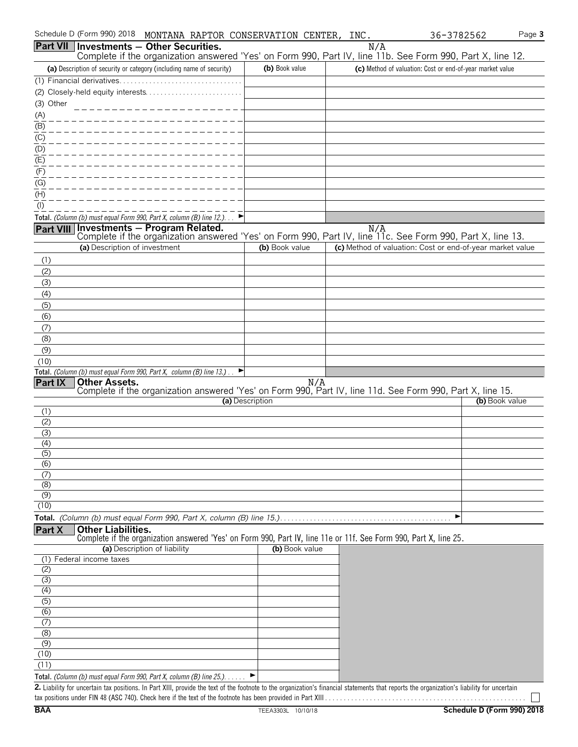| Schedule D (Form 990) 2018 MONTANA RAPTOR CONSERVATION CENTER, INC.                                                                                                                         |                 |     |     | 36-3782562                                                | Page 3         |
|---------------------------------------------------------------------------------------------------------------------------------------------------------------------------------------------|-----------------|-----|-----|-----------------------------------------------------------|----------------|
| Part VII   Investments - Other Securities.                                                                                                                                                  |                 |     | N/A |                                                           |                |
| Complete if the organization answered 'Yes' on Form 990, Part IV, line 11b. See Form 990, Part X, line 12.                                                                                  |                 |     |     |                                                           |                |
| (a) Description of security or category (including name of security)                                                                                                                        | (b) Book value  |     |     | (c) Method of valuation: Cost or end-of-year market value |                |
| (1) Financial derivatives<br>(2) Closely-held equity interests                                                                                                                              |                 |     |     |                                                           |                |
| (3) Other                                                                                                                                                                                   |                 |     |     |                                                           |                |
|                                                                                                                                                                                             |                 |     |     |                                                           |                |
| $\frac{(A)}{(B)}$                                                                                                                                                                           |                 |     |     |                                                           |                |
| $\frac{(C)}{C}$                                                                                                                                                                             |                 |     |     |                                                           |                |
| (D)                                                                                                                                                                                         |                 |     |     |                                                           |                |
| (E)                                                                                                                                                                                         |                 |     |     |                                                           |                |
| (F)                                                                                                                                                                                         |                 |     |     |                                                           |                |
| $\frac{(G)}{G}$                                                                                                                                                                             |                 |     |     |                                                           |                |
| (H)                                                                                                                                                                                         |                 |     |     |                                                           |                |
| (1)                                                                                                                                                                                         |                 |     |     |                                                           |                |
| Total. (Column (b) must equal Form 990, Part X, column (B) line 12.). $\Box$                                                                                                                |                 |     |     |                                                           |                |
| <b>Investments - Program Related.</b><br>Complete if the organization answered 'Yes' on Form 990, Part IV, line 11c. See Form 990, Part X, line 13.<br><b>Part VIII</b>                     |                 |     |     |                                                           |                |
| (a) Description of investment                                                                                                                                                               | (b) Book value  |     |     | (c) Method of valuation: Cost or end-of-year market value |                |
| (1)                                                                                                                                                                                         |                 |     |     |                                                           |                |
| (2)                                                                                                                                                                                         |                 |     |     |                                                           |                |
| (3)                                                                                                                                                                                         |                 |     |     |                                                           |                |
| (4)                                                                                                                                                                                         |                 |     |     |                                                           |                |
| (5)                                                                                                                                                                                         |                 |     |     |                                                           |                |
| (6)                                                                                                                                                                                         |                 |     |     |                                                           |                |
| (7)                                                                                                                                                                                         |                 |     |     |                                                           |                |
| (8)<br>(9)                                                                                                                                                                                  |                 |     |     |                                                           |                |
| (10)                                                                                                                                                                                        |                 |     |     |                                                           |                |
| Total. (Column (b) must equal Form 990, Part X, column (B) line 13.).                                                                                                                       |                 |     |     |                                                           |                |
| <b>Other Assets.</b><br><b>Part IX</b>                                                                                                                                                      |                 | N/A |     |                                                           |                |
| Complete if the organization answered 'Yes' on Form 990, Part IV, line 11d. See Form 990, Part X, line 15.                                                                                  | (a) Description |     |     |                                                           | (b) Book value |
| (1)                                                                                                                                                                                         |                 |     |     |                                                           |                |
| (2)                                                                                                                                                                                         |                 |     |     |                                                           |                |
| (3)                                                                                                                                                                                         |                 |     |     |                                                           |                |
| (4)                                                                                                                                                                                         |                 |     |     |                                                           |                |
| (5)                                                                                                                                                                                         |                 |     |     |                                                           |                |
| (6)<br>(7)                                                                                                                                                                                  |                 |     |     |                                                           |                |
| (8)                                                                                                                                                                                         |                 |     |     |                                                           |                |
| (9)                                                                                                                                                                                         |                 |     |     |                                                           |                |
| (10)                                                                                                                                                                                        |                 |     |     |                                                           |                |
|                                                                                                                                                                                             |                 |     |     | ▶                                                         |                |
| Part X<br><b>Other Liabilities.</b><br>Complete if the organization answered 'Yes' on Form 990, Part IV, line 11e or 11f. See Form 990, Part X, line 25.                                    |                 |     |     |                                                           |                |
| (a) Description of liability                                                                                                                                                                | (b) Book value  |     |     |                                                           |                |
| (1) Federal income taxes                                                                                                                                                                    |                 |     |     |                                                           |                |
| (2)                                                                                                                                                                                         |                 |     |     |                                                           |                |
| (3)                                                                                                                                                                                         |                 |     |     |                                                           |                |
| (4)                                                                                                                                                                                         |                 |     |     |                                                           |                |
| (5)<br>(6)                                                                                                                                                                                  |                 |     |     |                                                           |                |
| (7)                                                                                                                                                                                         |                 |     |     |                                                           |                |
| (8)                                                                                                                                                                                         |                 |     |     |                                                           |                |
| (9)                                                                                                                                                                                         |                 |     |     |                                                           |                |
| (10)                                                                                                                                                                                        |                 |     |     |                                                           |                |
| (11)                                                                                                                                                                                        |                 |     |     |                                                           |                |
| Total. (Column (b) must equal Form 990, Part X, column (B) line 25.). $\blacktriangleright$                                                                                                 |                 |     |     |                                                           |                |
| 2. Liability for uncertain tax positions. In Part XIII, provide the text of the footnote to the organization's financial statements that reports the organization's liability for uncertain |                 |     |     |                                                           |                |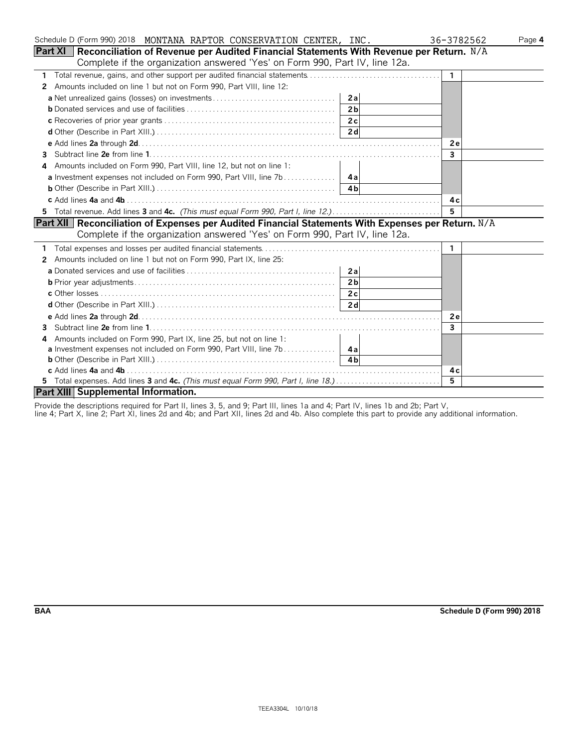| Schedule D (Form 990) 2018 MONTANA RAPTOR CONSERVATION CENTER, INC.                                | 36-3782562   | Page 4 |
|----------------------------------------------------------------------------------------------------|--------------|--------|
| Part XI   Reconciliation of Revenue per Audited Financial Statements With Revenue per Return. N/A  |              |        |
| Complete if the organization answered 'Yes' on Form 990, Part IV, line 12a.                        |              |        |
| $\mathbf{1}$                                                                                       | $\mathbf{1}$ |        |
| Amounts included on line 1 but not on Form 990, Part VIII, line 12:<br>2                           |              |        |
| 2a                                                                                                 |              |        |
| 2 <sub>b</sub>                                                                                     |              |        |
| 2c                                                                                                 |              |        |
|                                                                                                    |              |        |
|                                                                                                    | 2e           |        |
| 3                                                                                                  | $\mathbf{3}$ |        |
| Amounts included on Form 990, Part VIII, line 12, but not on line 1:<br>4                          |              |        |
|                                                                                                    |              |        |
|                                                                                                    |              |        |
|                                                                                                    | 4 c          |        |
|                                                                                                    | 5            |        |
| Part XII Reconciliation of Expenses per Audited Financial Statements With Expenses per Return. N/A |              |        |
| Complete if the organization answered 'Yes' on Form 990, Part IV, line 12a.                        |              |        |
|                                                                                                    | -1           |        |
| Amounts included on line 1 but not on Form 990, Part IX, line 25:<br>2                             |              |        |
| 2a                                                                                                 |              |        |
| 2 <sub>b</sub>                                                                                     |              |        |
|                                                                                                    |              |        |
|                                                                                                    |              |        |
|                                                                                                    | 2e           |        |
| 3                                                                                                  | $\mathbf{3}$ |        |
| Amounts included on Form 990, Part IX, line 25, but not on line 1:<br>4                            |              |        |
| a Investment expenses not included on Form 990, Part VIII, line 7b  4a                             |              |        |
|                                                                                                    |              |        |
|                                                                                                    | 4 c          |        |
| 5 Total expenses. Add lines 3 and 4c. (This must equal Form 990, Part I, line 18.)                 | 5            |        |
| Part XIII Supplemental Information.                                                                |              |        |

Provide the descriptions required for Part II, lines 3, 5, and 9; Part III, lines 1a and 4; Part IV, lines 1b and 2b; Part V,

line 4; Part X, line 2; Part XI, lines 2d and 4b; and Part XII, lines 2d and 4b. Also complete this part to provide any additional information.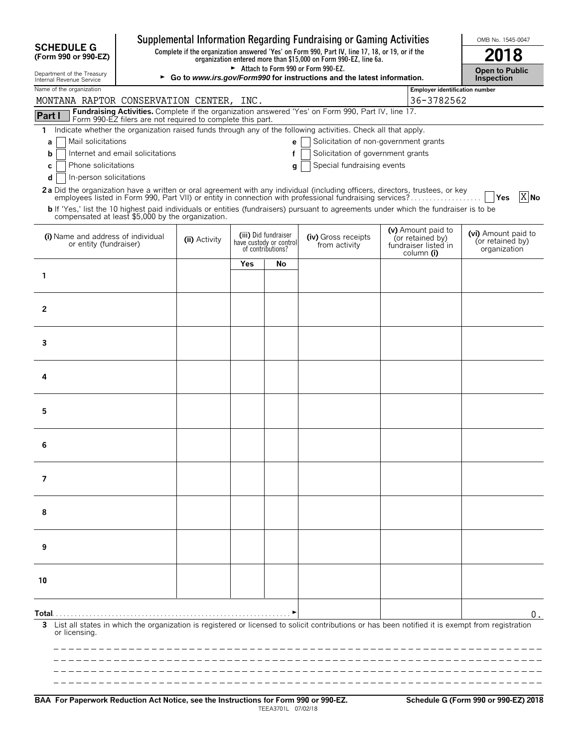|                                                                                                                                                                                            |                                                                                                                |     |                                                                      | Supplemental Information Regarding Fundraising or Gaming Activities                                                                                                 |  |                                                                              | OMB No. 1545-0047                                       |  |  |
|--------------------------------------------------------------------------------------------------------------------------------------------------------------------------------------------|----------------------------------------------------------------------------------------------------------------|-----|----------------------------------------------------------------------|---------------------------------------------------------------------------------------------------------------------------------------------------------------------|--|------------------------------------------------------------------------------|---------------------------------------------------------|--|--|
| <b>SCHEDULE G</b><br>(Form 990 or 990-EZ)                                                                                                                                                  |                                                                                                                |     |                                                                      | Complete if the organization answered 'Yes' on Form 990, Part IV, line 17, 18, or 19, or if the<br>organization entered more than \$15,000 on Form 990-EZ, line 6a. |  |                                                                              | 18                                                      |  |  |
| Department of the Treasury<br>Internal Revenue Service                                                                                                                                     | Attach to Form 990 or Form 990-EZ.<br>► Go to www.irs.gov/Form990 for instructions and the latest information. |     |                                                                      |                                                                                                                                                                     |  |                                                                              |                                                         |  |  |
| Name of the organization<br>MONTANA RAPTOR CONSERVATION CENTER, INC.                                                                                                                       | <b>Employer identification number</b>                                                                          |     |                                                                      |                                                                                                                                                                     |  |                                                                              |                                                         |  |  |
| Fundraising Activities. Complete if the organization answered 'Yes' on Form 990, Part IV, line 17.<br>Part I                                                                               |                                                                                                                |     |                                                                      |                                                                                                                                                                     |  | 36-3782562                                                                   |                                                         |  |  |
| Form 990-EZ filers are not required to complete this part.<br>Indicate whether the organization raised funds through any of the following activities. Check all that apply.<br>1           |                                                                                                                |     |                                                                      |                                                                                                                                                                     |  |                                                                              |                                                         |  |  |
| Mail solicitations<br>а                                                                                                                                                                    |                                                                                                                |     | e                                                                    | Solicitation of non-government grants                                                                                                                               |  |                                                                              |                                                         |  |  |
| Internet and email solicitations<br>b                                                                                                                                                      |                                                                                                                |     | f                                                                    | Solicitation of government grants                                                                                                                                   |  |                                                                              |                                                         |  |  |
| Phone solicitations<br>С<br>In-person solicitations<br>d                                                                                                                                   |                                                                                                                |     | g                                                                    | Special fundraising events                                                                                                                                          |  |                                                                              |                                                         |  |  |
| 2a Did the organization have a written or oral agreement with any individual (including officers, directors, trustees, or key                                                              |                                                                                                                |     |                                                                      |                                                                                                                                                                     |  |                                                                              | $X$ <sub>No</sub><br><b>Yes</b>                         |  |  |
| b If 'Yes,' list the 10 highest paid individuals or entities (fundraisers) pursuant to agreements under which the fundraiser is to be<br>compensated at least \$5,000 by the organization. |                                                                                                                |     |                                                                      |                                                                                                                                                                     |  |                                                                              |                                                         |  |  |
| (i) Name and address of individual<br>or entity (fundraiser)                                                                                                                               | (ii) Activity                                                                                                  |     | (iii) Did fundraiser<br>have custody or control<br>of contributions? | (iv) Gross receipts<br>from activity                                                                                                                                |  | (v) Amount paid to<br>(or retained by)<br>fundraiser listed in<br>column (i) | (vi) Amount paid to<br>(or retained by)<br>organization |  |  |
|                                                                                                                                                                                            |                                                                                                                | Yes | No                                                                   |                                                                                                                                                                     |  |                                                                              |                                                         |  |  |
| 1                                                                                                                                                                                          |                                                                                                                |     |                                                                      |                                                                                                                                                                     |  |                                                                              |                                                         |  |  |
|                                                                                                                                                                                            |                                                                                                                |     |                                                                      |                                                                                                                                                                     |  |                                                                              |                                                         |  |  |
| $\overline{2}$                                                                                                                                                                             |                                                                                                                |     |                                                                      |                                                                                                                                                                     |  |                                                                              |                                                         |  |  |
|                                                                                                                                                                                            |                                                                                                                |     |                                                                      |                                                                                                                                                                     |  |                                                                              |                                                         |  |  |
| 3                                                                                                                                                                                          |                                                                                                                |     |                                                                      |                                                                                                                                                                     |  |                                                                              |                                                         |  |  |
| 4                                                                                                                                                                                          |                                                                                                                |     |                                                                      |                                                                                                                                                                     |  |                                                                              |                                                         |  |  |
|                                                                                                                                                                                            |                                                                                                                |     |                                                                      |                                                                                                                                                                     |  |                                                                              |                                                         |  |  |
| 5                                                                                                                                                                                          |                                                                                                                |     |                                                                      |                                                                                                                                                                     |  |                                                                              |                                                         |  |  |
| 6                                                                                                                                                                                          |                                                                                                                |     |                                                                      |                                                                                                                                                                     |  |                                                                              |                                                         |  |  |
|                                                                                                                                                                                            |                                                                                                                |     |                                                                      |                                                                                                                                                                     |  |                                                                              |                                                         |  |  |
| 7                                                                                                                                                                                          |                                                                                                                |     |                                                                      |                                                                                                                                                                     |  |                                                                              |                                                         |  |  |
| 8                                                                                                                                                                                          |                                                                                                                |     |                                                                      |                                                                                                                                                                     |  |                                                                              |                                                         |  |  |
|                                                                                                                                                                                            |                                                                                                                |     |                                                                      |                                                                                                                                                                     |  |                                                                              |                                                         |  |  |
| 9                                                                                                                                                                                          |                                                                                                                |     |                                                                      |                                                                                                                                                                     |  |                                                                              |                                                         |  |  |
| 10                                                                                                                                                                                         |                                                                                                                |     |                                                                      |                                                                                                                                                                     |  |                                                                              |                                                         |  |  |
|                                                                                                                                                                                            |                                                                                                                |     |                                                                      |                                                                                                                                                                     |  |                                                                              |                                                         |  |  |
| Total. .                                                                                                                                                                                   |                                                                                                                |     |                                                                      |                                                                                                                                                                     |  |                                                                              | 0.                                                      |  |  |
| List all states in which the organization is registered or licensed to solicit contributions or has been notified it is exempt from registration<br>or licensing.                          |                                                                                                                |     |                                                                      |                                                                                                                                                                     |  |                                                                              |                                                         |  |  |
|                                                                                                                                                                                            |                                                                                                                |     |                                                                      |                                                                                                                                                                     |  |                                                                              |                                                         |  |  |
|                                                                                                                                                                                            |                                                                                                                |     |                                                                      |                                                                                                                                                                     |  |                                                                              |                                                         |  |  |
|                                                                                                                                                                                            |                                                                                                                |     |                                                                      |                                                                                                                                                                     |  |                                                                              |                                                         |  |  |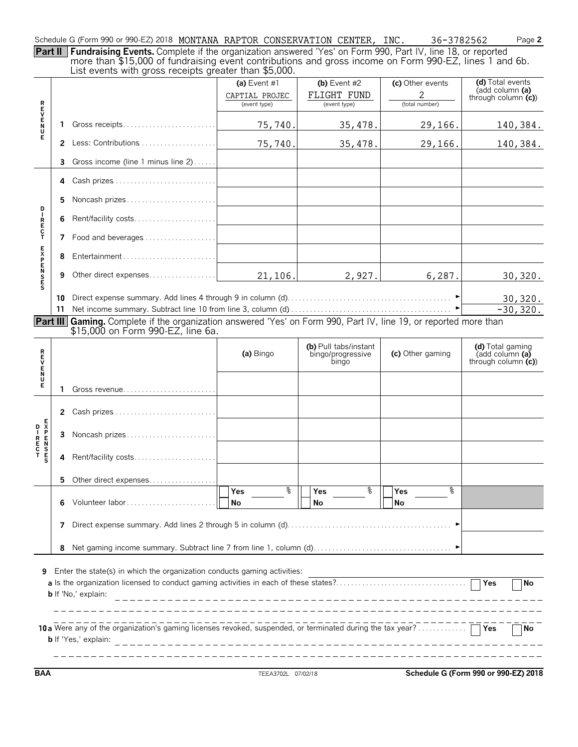Schedule G (Form 990 or 990-EZ) 2018 MONTANA RAPTOR CONSERVATION CENTER, INC. 36-3782562 Page **2** 

**Part II Fundraising Events.** Complete if the organization answered 'Yes' on Form 990, Part IV, line 18, or reported more than \$15,000 of fundraising event contributions and gross income on Form 990-EZ, lines 1 and 6b. List events with gross receipts greater than \$5,000.

|                            |                                                                                                                     | $\sim$ . The second with group receipts groups than $\phi$ ,000.                                                  |                                                  |                                                     |                                         |                                                             |  |  |  |
|----------------------------|---------------------------------------------------------------------------------------------------------------------|-------------------------------------------------------------------------------------------------------------------|--------------------------------------------------|-----------------------------------------------------|-----------------------------------------|-------------------------------------------------------------|--|--|--|
|                            |                                                                                                                     |                                                                                                                   | (a) Event $#1$<br>CAPTIAL PROJEC<br>(event type) | (b) Event $#2$<br>FLIGHT FUND<br>(event type)       | (c) Other events<br>2<br>(total number) | (d) Total events<br>(add column (a)<br>through column $(c)$ |  |  |  |
| トロンドルス                     | 1                                                                                                                   |                                                                                                                   | 75,740.                                          | 35,478.                                             | 29,166.                                 | 140,384.                                                    |  |  |  |
|                            | $\mathbf{2}$                                                                                                        |                                                                                                                   | 75,740.                                          | 35,478.                                             | 29,166.                                 | 140,384.                                                    |  |  |  |
|                            | 3                                                                                                                   | Gross income (line 1 minus line 2)                                                                                |                                                  |                                                     |                                         |                                                             |  |  |  |
|                            | 4                                                                                                                   |                                                                                                                   |                                                  |                                                     |                                         |                                                             |  |  |  |
|                            | 5.                                                                                                                  | Noncash prizes                                                                                                    |                                                  |                                                     |                                         |                                                             |  |  |  |
| D<br>I<br>R<br>E<br>C<br>T |                                                                                                                     | Rent/facility costs                                                                                               |                                                  |                                                     |                                         |                                                             |  |  |  |
|                            | 7                                                                                                                   | Food and beverages                                                                                                |                                                  |                                                     |                                         |                                                             |  |  |  |
|                            | 8                                                                                                                   |                                                                                                                   |                                                  |                                                     |                                         |                                                             |  |  |  |
| <b>EXPENSES</b>            | 9                                                                                                                   | Other direct expenses                                                                                             | 21, 106.                                         | 2,927.                                              | 6,287.                                  | 30,320.                                                     |  |  |  |
|                            | 10                                                                                                                  |                                                                                                                   |                                                  |                                                     |                                         | 30, 320.                                                    |  |  |  |
|                            |                                                                                                                     |                                                                                                                   |                                                  |                                                     |                                         | $-30, 320.$                                                 |  |  |  |
|                            |                                                                                                                     | Part III Gaming. Complete if the organization answered 'Yes' on Form 990, Part IV, line 19, or reported more than |                                                  |                                                     |                                         |                                                             |  |  |  |
|                            |                                                                                                                     | \$15,000 on Form 990-EZ, line 6a.                                                                                 |                                                  |                                                     |                                         |                                                             |  |  |  |
| ロマロスロ                      |                                                                                                                     |                                                                                                                   | (a) Bingo                                        | (b) Pull tabs/instant<br>bingo/progressive<br>bingo | (c) Other gaming                        | (d) Total gaming<br>(add column (a)<br>through column $(c)$ |  |  |  |
| Е                          | 1.                                                                                                                  | Gross revenue                                                                                                     |                                                  |                                                     |                                         |                                                             |  |  |  |
|                            | $\mathbf{2}$                                                                                                        |                                                                                                                   |                                                  |                                                     |                                         |                                                             |  |  |  |
|                            | 3                                                                                                                   | Noncash prizes                                                                                                    |                                                  |                                                     |                                         |                                                             |  |  |  |
|                            | 4                                                                                                                   | Rent/facility costs                                                                                               |                                                  |                                                     |                                         |                                                             |  |  |  |
|                            | 5.                                                                                                                  | Other direct expenses                                                                                             |                                                  |                                                     |                                         |                                                             |  |  |  |
|                            | 6                                                                                                                   | Volunteer labor                                                                                                   | g<br>Yes<br>No                                   | g<br>Yes<br>No                                      | နွ<br><b>Yes</b><br>No                  |                                                             |  |  |  |
|                            | 7                                                                                                                   |                                                                                                                   |                                                  |                                                     |                                         |                                                             |  |  |  |
|                            | 8                                                                                                                   |                                                                                                                   |                                                  |                                                     |                                         |                                                             |  |  |  |
| 9                          | Enter the state(s) in which the organization conducts gaming activities:<br><b>No</b><br><b>b</b> If 'No,' explain: |                                                                                                                   |                                                  |                                                     |                                         |                                                             |  |  |  |
|                            | ∏No<br><b>b</b> If 'Yes,' explain:                                                                                  |                                                                                                                   |                                                  |                                                     |                                         |                                                             |  |  |  |

**BAA** TEEA3702L 07/02/18 **Schedule G (Form 990 or 990-EZ) 2018**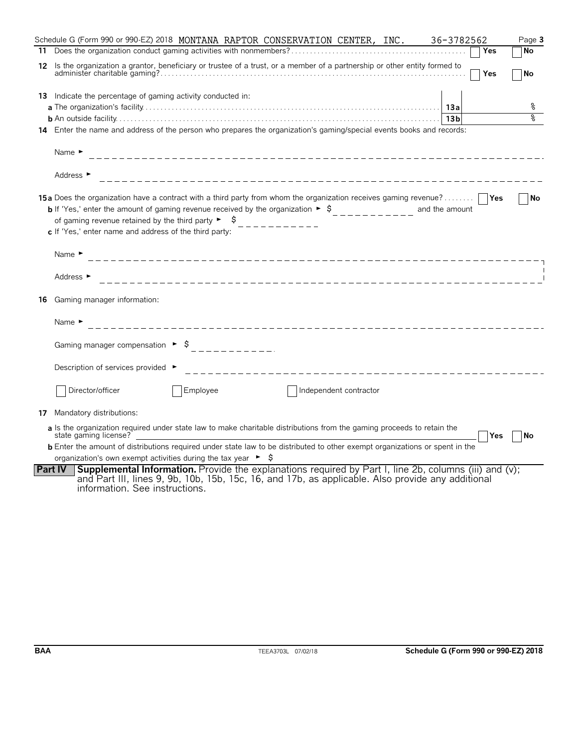|    | Schedule G (Form 990 or 990-EZ) 2018 MONTANA RAPTOR CONSERVATION CENTER, INC.<br>36-3782562                                                                                                                                                                                                                                                                                                                                              | Page 3    |
|----|------------------------------------------------------------------------------------------------------------------------------------------------------------------------------------------------------------------------------------------------------------------------------------------------------------------------------------------------------------------------------------------------------------------------------------------|-----------|
|    | Yes                                                                                                                                                                                                                                                                                                                                                                                                                                      | <b>No</b> |
|    | 12 Is the organization a grantor, beneficiary or trustee of a trust, or a member of a partnership or other entity formed to<br>Yes                                                                                                                                                                                                                                                                                                       | <b>No</b> |
|    | 13 Indicate the percentage of gaming activity conducted in:                                                                                                                                                                                                                                                                                                                                                                              |           |
|    |                                                                                                                                                                                                                                                                                                                                                                                                                                          | န့        |
|    |                                                                                                                                                                                                                                                                                                                                                                                                                                          |           |
|    | 14 Enter the name and address of the person who prepares the organization's gaming/special events books and records:                                                                                                                                                                                                                                                                                                                     |           |
|    | Name $\blacktriangleright$                                                                                                                                                                                                                                                                                                                                                                                                               |           |
|    | Address ►                                                                                                                                                                                                                                                                                                                                                                                                                                |           |
|    | <b>15a</b> Does the organization have a contract with a third party from whom the organization receives gaming revenue?<br><b>b</b> If 'Yes,' enter the amount of gaming revenue received by the organization $\triangleright$ $\uparrow$<br>and the amount<br>of gaming revenue retained by the third party $\blacktriangleright$ $\blacktriangleright$ $\blacktriangleright$<br>c If 'Yes,' enter name and address of the third party: | No        |
|    | Name $\blacktriangleright$                                                                                                                                                                                                                                                                                                                                                                                                               |           |
|    | Address ►                                                                                                                                                                                                                                                                                                                                                                                                                                |           |
| 16 | Gaming manager information:                                                                                                                                                                                                                                                                                                                                                                                                              |           |
|    | Name $\blacktriangleright$<br>____________________________                                                                                                                                                                                                                                                                                                                                                                               |           |
|    |                                                                                                                                                                                                                                                                                                                                                                                                                                          |           |
|    | Description of services provided ▶<br>____________________________________                                                                                                                                                                                                                                                                                                                                                               |           |
|    | Director/officer<br>Employee<br>Independent contractor                                                                                                                                                                                                                                                                                                                                                                                   |           |
|    | <b>17</b> Mandatory distributions:                                                                                                                                                                                                                                                                                                                                                                                                       |           |
|    | a Is the organization required under state law to make charitable distributions from the gaming proceeds to retain the<br>state gaming license?<br><b>Yes</b>                                                                                                                                                                                                                                                                            | No        |
|    | <b>b</b> Enter the amount of distributions required under state law to be distributed to other exempt organizations or spent in the                                                                                                                                                                                                                                                                                                      |           |
|    | organization's own exempt activities during the tax year $\triangleright$ \$                                                                                                                                                                                                                                                                                                                                                             |           |
|    | <b>Supplemental Information.</b> Provide the explanations required by Part I, line 2b, columns (iii) and (v);<br><b>Part IV</b><br>and Part III, lines 9, 9b, 10b, 15b, 15c, 16, and 17b, as applicable. Also provide any additional<br>information. See instructions.                                                                                                                                                                   |           |